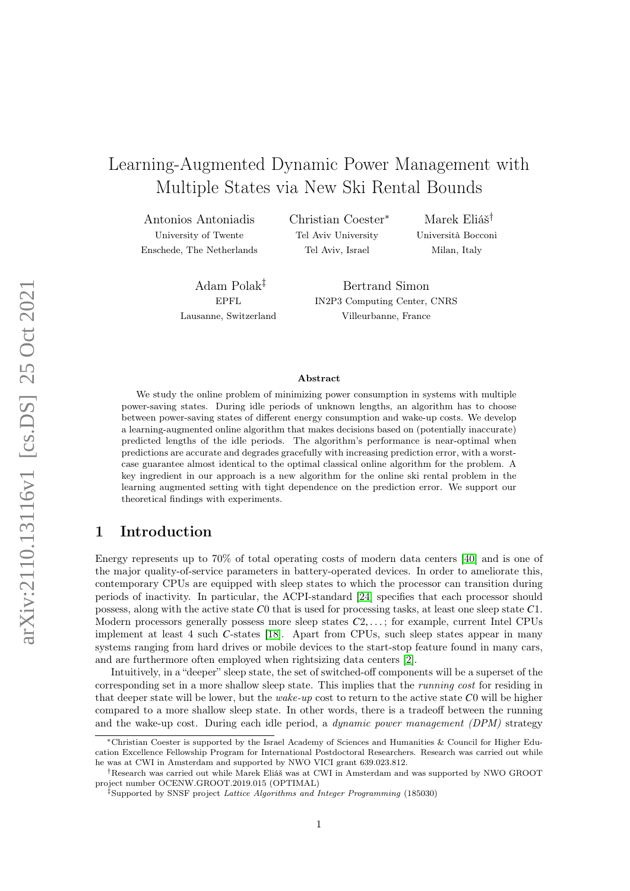# Learning-Augmented Dynamic Power Management with Multiple States via New Ski Rental Bounds

Antonios Antoniadis

University of Twente Enschede, The Netherlands Christian Coester<sup>∗</sup> Tel Aviv University Tel Aviv, Israel

Marek Eliáš† Università Bocconi Milan, Italy

Adam Polak‡ EPFL Lausanne, Switzerland

Bertrand Simon IN2P3 Computing Center, CNRS Villeurbanne, France

#### Abstract

We study the online problem of minimizing power consumption in systems with multiple power-saving states. During idle periods of unknown lengths, an algorithm has to choose between power-saving states of different energy consumption and wake-up costs. We develop a learning-augmented online algorithm that makes decisions based on (potentially inaccurate) predicted lengths of the idle periods. The algorithm's performance is near-optimal when predictions are accurate and degrades gracefully with increasing prediction error, with a worstcase guarantee almost identical to the optimal classical online algorithm for the problem. A key ingredient in our approach is a new algorithm for the online ski rental problem in the learning augmented setting with tight dependence on the prediction error. We support our theoretical findings with experiments.

## 1 Introduction

Energy represents up to 70% of total operating costs of modern data centers [\[40\]](#page-28-0) and is one of the major quality-of-service parameters in battery-operated devices. In order to ameliorate this, contemporary CPUs are equipped with sleep states to which the processor can transition during periods of inactivity. In particular, the ACPI-standard [\[24\]](#page-28-1) specifies that each processor should possess, along with the active state  $C_0$  that is used for processing tasks, at least one sleep state  $C_1$ . Modern processors generally possess more sleep states  $C_2, \ldots$ ; for example, current Intel CPUs implement at least 4 such C-states [\[18\]](#page-27-0). Apart from CPUs, such sleep states appear in many systems ranging from hard drives or mobile devices to the start-stop feature found in many cars, and are furthermore often employed when rightsizing data centers [\[2\]](#page-26-0).

Intuitively, in a "deeper" sleep state, the set of switched-off components will be a superset of the corresponding set in a more shallow sleep state. This implies that the running cost for residing in that deeper state will be lower, but the *wake-up* cost to return to the active state  $C_0$  will be higher compared to a more shallow sleep state. In other words, there is a tradeoff between the running and the wake-up cost. During each idle period, a dynamic power management (DPM) strategy

<sup>∗</sup>Christian Coester is supported by the Israel Academy of Sciences and Humanities & Council for Higher Education Excellence Fellowship Program for International Postdoctoral Researchers. Research was carried out while he was at CWI in Amsterdam and supported by NWO VICI grant 639.023.812.

<sup>†</sup>Research was carried out while Marek Eliáš was at CWI in Amsterdam and was supported by NWO GROOT project number OCENW.GROOT.2019.015 (OPTIMAL)

<sup>&</sup>lt;sup>‡</sup>Supported by SNSF project Lattice Algorithms and Integer Programming (185030)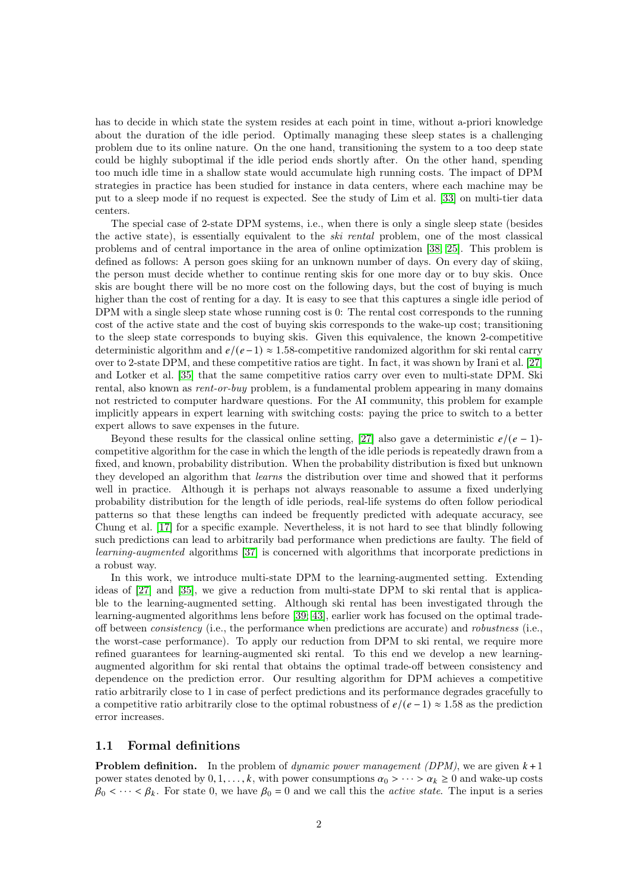has to decide in which state the system resides at each point in time, without a-priori knowledge about the duration of the idle period. Optimally managing these sleep states is a challenging problem due to its online nature. On the one hand, transitioning the system to a too deep state could be highly suboptimal if the idle period ends shortly after. On the other hand, spending too much idle time in a shallow state would accumulate high running costs. The impact of DPM strategies in practice has been studied for instance in data centers, where each machine may be put to a sleep mode if no request is expected. See the study of Lim et al. [\[33\]](#page-28-2) on multi-tier data centers.

The special case of 2-state DPM systems, i.e., when there is only a single sleep state (besides the active state), is essentially equivalent to the ski rental problem, one of the most classical problems and of central importance in the area of online optimization [\[38;](#page-28-3) [25\]](#page-28-4). This problem is defined as follows: A person goes skiing for an unknown number of days. On every day of skiing, the person must decide whether to continue renting skis for one more day or to buy skis. Once skis are bought there will be no more cost on the following days, but the cost of buying is much higher than the cost of renting for a day. It is easy to see that this captures a single idle period of DPM with a single sleep state whose running cost is 0: The rental cost corresponds to the running cost of the active state and the cost of buying skis corresponds to the wake-up cost; transitioning to the sleep state corresponds to buying skis. Given this equivalence, the known 2-competitive deterministic algorithm and  $e/(e-1) \approx 1.58$ -competitive randomized algorithm for ski rental carry over to 2-state DPM, and these competitive ratios are tight. In fact, it was shown by Irani et al. [\[27\]](#page-28-5) and Lotker et al. [\[35\]](#page-28-6) that the same competitive ratios carry over even to multi-state DPM. Ski rental, also known as rent-or-buy problem, is a fundamental problem appearing in many domains not restricted to computer hardware questions. For the AI community, this problem for example implicitly appears in expert learning with switching costs: paying the price to switch to a better expert allows to save expenses in the future.

Beyond these results for the classical online setting, [\[27\]](#page-28-5) also gave a deterministic  $e/((e-1)$ competitive algorithm for the case in which the length of the idle periods is repeatedly drawn from a fixed, and known, probability distribution. When the probability distribution is fixed but unknown they developed an algorithm that learns the distribution over time and showed that it performs well in practice. Although it is perhaps not always reasonable to assume a fixed underlying probability distribution for the length of idle periods, real-life systems do often follow periodical patterns so that these lengths can indeed be frequently predicted with adequate accuracy, see Chung et al. [\[17\]](#page-27-1) for a specific example. Nevertheless, it is not hard to see that blindly following such predictions can lead to arbitrarily bad performance when predictions are faulty. The field of learning-augmented algorithms [\[37\]](#page-28-7) is concerned with algorithms that incorporate predictions in a robust way.

In this work, we introduce multi-state DPM to the learning-augmented setting. Extending ideas of [\[27\]](#page-28-5) and [\[35\]](#page-28-6), we give a reduction from multi-state DPM to ski rental that is applicable to the learning-augmented setting. Although ski rental has been investigated through the learning-augmented algorithms lens before [\[39;](#page-28-8) [43\]](#page-29-0), earlier work has focused on the optimal tradeoff between consistency (i.e., the performance when predictions are accurate) and robustness (i.e., the worst-case performance). To apply our reduction from DPM to ski rental, we require more refined guarantees for learning-augmented ski rental. To this end we develop a new learningaugmented algorithm for ski rental that obtains the optimal trade-off between consistency and dependence on the prediction error. Our resulting algorithm for DPM achieves a competitive ratio arbitrarily close to 1 in case of perfect predictions and its performance degrades gracefully to a competitive ratio arbitrarily close to the optimal robustness of  $e/(e-1) \approx 1.58$  as the prediction error increases.

### 1.1 Formal definitions

**Problem definition.** In the problem of *dynamic power management (DPM)*, we are given  $k+1$ power states denoted by  $0, 1, \ldots, k$ , with power consumptions  $\alpha_0 > \cdots > \alpha_k \geq 0$  and wake-up costs  $\beta_0 < \cdots < \beta_k$ . For state 0, we have  $\beta_0 = 0$  and we call this the *active state*. The input is a series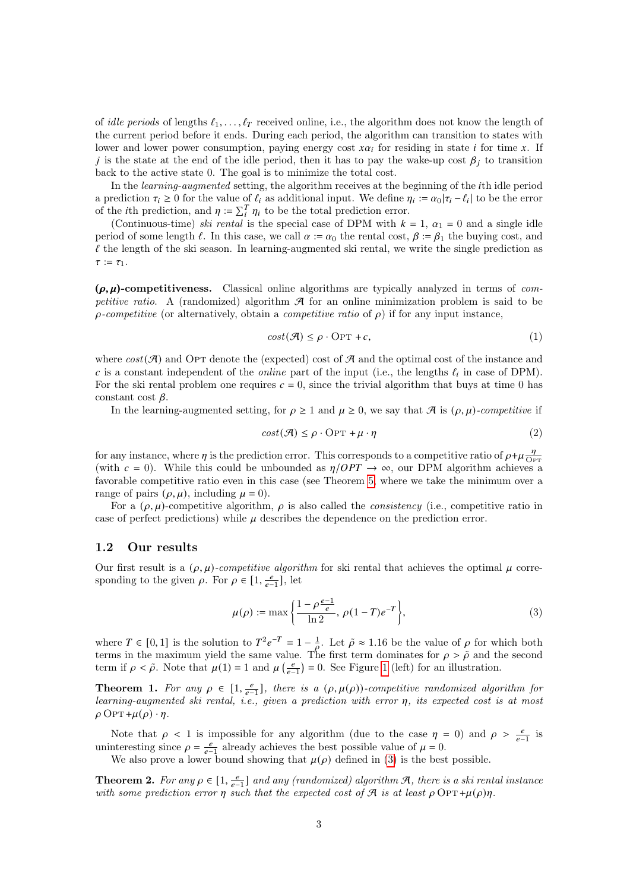of idle periods of lengths  $\ell_1, \ldots, \ell_T$  received online, i.e., the algorithm does not know the length of the current period before it ends. During each period, the algorithm can transition to states with lower and lower power consumption, paying energy cost  $x\alpha_i$  for residing in state *i* for time x. If j is the state at the end of the idle period, then it has to pay the wake-up cost  $\beta_i$  to transition back to the active state 0. The goal is to minimize the total cost.

In the learning-augmented setting, the algorithm receives at the beginning of the th idle period a prediction  $\tau_i \geq 0$  for the value of  $\ell_i$  as additional input. We define  $\eta_i := \alpha_0 |\tau_i - \ell_i|$  to be the error of the *i*th prediction, and  $\eta := \sum_i^T \eta_i$  to be the total prediction error.

(Continuous-time) ski rental is the special case of DPM with  $k = 1$ ,  $\alpha_1 = 0$  and a single idle period of some length  $\ell$ . In this case, we call  $\alpha := \alpha_0$  the rental cost,  $\beta := \beta_1$  the buying cost, and  $\ell$  the length of the ski season. In learning-augmented ski rental, we write the single prediction as  $\tau := \tau_1$ .

 $(\rho, \mu)$ -competitiveness. Classical online algorithms are typically analyzed in terms of competitive ratio. A (randomized) algorithm  $\mathcal A$  for an online minimization problem is said to be  $\rho$ -competitive (or alternatively, obtain a *competitive ratio* of  $\rho$ ) if for any input instance,

<span id="page-2-3"></span>
$$
cost(\mathcal{A}) \le \rho \cdot \text{OPT} + c,\tag{1}
$$

where  $cost(\mathcal{A})$  and OPT denote the (expected) cost of  $\mathcal{A}$  and the optimal cost of the instance and c is a constant independent of the *online* part of the input (i.e., the lengths  $\ell_i$  in case of DPM). For the ski rental problem one requires  $c = 0$ , since the trivial algorithm that buys at time 0 has constant cost  $\beta$ .

In the learning-augmented setting, for  $\rho \ge 1$  and  $\mu \ge 0$ , we say that  $\mathcal A$  is  $(\rho, \mu)$ -competitive if

<span id="page-2-4"></span>
$$
cost(\mathcal{A}) \le \rho \cdot \text{OPT} + \mu \cdot \eta \tag{2}
$$

for any instance, where  $\eta$  is the prediction error. This corresponds to a competitive ratio of  $\rho + \mu \frac{\eta}{\Omega}$  $\overline{OPT}$ (with  $c = 0$ ). While this could be unbounded as  $\eta/OPT \rightarrow \infty$ , our DPM algorithm achieves a favorable competitive ratio even in this case (see Theorem [5,](#page-3-0) where we take the minimum over a range of pairs  $(\rho, \mu)$ , including  $\mu = 0$ ).

For a  $(\rho, \mu)$ -competitive algorithm,  $\rho$  is also called the *consistency* (i.e., competitive ratio in case of perfect predictions) while  $\mu$  describes the dependence on the prediction error.

#### 1.2 Our results

Our first result is a  $(\rho, \mu)$ -competitive algorithm for ski rental that achieves the optimal  $\mu$  corresponding to the given  $\rho$ . For  $\rho \in [1, \frac{e}{e-1}]$ , let

<span id="page-2-0"></span>
$$
\mu(\rho) := \max\left\{\frac{1 - \rho \frac{e - 1}{e}}{\ln 2}, \, \rho(1 - T)e^{-T}\right\},\tag{3}
$$

where  $T \in [0,1]$  is the solution to  $T^2 e^{-T} = 1 - \frac{1}{\rho}$ . Let  $\tilde{\rho} \approx 1.16$  be the value of  $\rho$  for which both terms in the maximum yield the same value. The first term dominates for  $\rho > \tilde{\rho}$  and the second term if  $\rho < \tilde{\rho}$ . Note that  $\mu(1) = 1$  $\mu(1) = 1$  and  $\mu\left(\frac{e}{e-1}\right) = 0$ . See Figure 1 (left) for an illustration.

<span id="page-2-1"></span>**Theorem 1.** For any  $\rho \in [1, \frac{e}{e-1}]$ , there is a  $(\rho, \mu(\rho))$ -competitive randomized algorithm for learning-augmented ski rental, i.e., given a prediction with error  $\eta$ , its expected cost is at most  $\rho$  Opt + $\mu(\rho) \cdot \eta$ .

Note that  $\rho$  < 1 is impossible for any algorithm (due to the case  $\eta = 0$ ) and  $\rho > \frac{e}{e-1}$  is uninteresting since  $\rho = \frac{e}{e-1}$  already achieves the best possible value of  $\mu = 0$ .

We also prove a lower bound showing that  $\mu(\rho)$  defined in [\(3\)](#page-2-0) is the best possible.

<span id="page-2-2"></span>**Theorem 2.** For any  $\rho \in [1, \frac{e}{e-1}]$  and any (randomized) algorithm  $\mathcal{A}$ , there is a ski rental instance with some prediction error  $\eta$  such that the expected cost of A is at least  $\rho$  OPT + $\mu(\rho)\eta$ .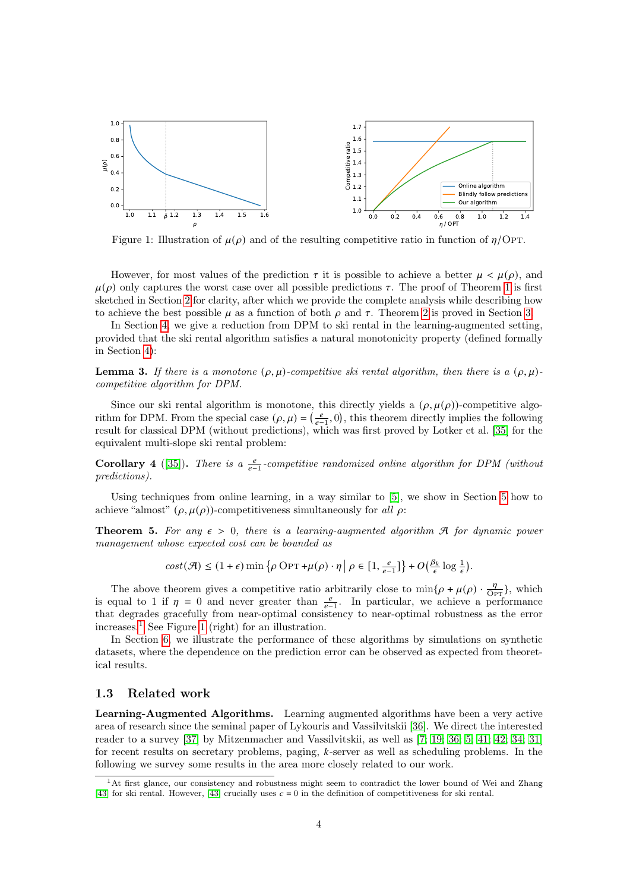<span id="page-3-1"></span>

Figure 1: Illustration of  $\mu(\rho)$  and of the resulting competitive ratio in function of  $\eta$ /Opt.

However, for most values of the prediction  $\tau$  it is possible to achieve a better  $\mu < \mu(\rho)$ , and  $\mu(\rho)$  only captures the worst case over all possible predictions  $\tau$ . The proof of Theorem [1](#page-2-1) is first sketched in Section [2](#page-5-0) for clarity, after which we provide the complete analysis while describing how to achieve the best possible  $\mu$  as a function of both  $\rho$  and  $\tau$ . Theorem [2](#page-2-2) is proved in Section [3.](#page-15-0)

In Section [4,](#page-18-0) we give a reduction from DPM to ski rental in the learning-augmented setting, provided that the ski rental algorithm satisfies a natural monotonicity property (defined formally in Section [4\)](#page-18-0):

<span id="page-3-3"></span>**Lemma 3.** If there is a monotone  $(\rho, \mu)$ -competitive ski rental algorithm, then there is a  $(\rho, \mu)$ competitive algorithm for DPM.

Since our ski rental algorithm is monotone, this directly yields a  $(\rho, \mu(\rho))$ -competitive algorithm for DPM. From the special case  $(\rho, \mu) = \left(\frac{e}{e-1}, 0\right)$ , this theorem directly implies the following result for classical DPM (without predictions), which was first proved by Lotker et al. [\[35\]](#page-28-6) for the equivalent multi-slope ski rental problem:

**Corollary 4** ([\[35\]](#page-28-6)). There is a  $\frac{e}{e-1}$ -competitive randomized online algorithm for DPM (without predictions).

Using techniques from online learning, in a way similar to [\[5\]](#page-27-2), we show in Section [5](#page-21-0) how to achieve "almost"  $(\rho, \mu(\rho))$ -competitiveness simultaneously for all  $\rho$ :

<span id="page-3-0"></span>**Theorem 5.** For any  $\epsilon > 0$ , there is a learning-augmented algorithm  $\mathcal{A}$  for dynamic power management whose expected cost can be bounded as

$$
cost(\mathcal{A}) \leq (1+\epsilon)\min\left\{\rho \, \text{OPT} + \mu(\rho) \cdot \eta \, \middle| \, \rho \in \left[1, \frac{e}{\epsilon-1}\right] \right\} + O\big(\tfrac{\beta_k}{\epsilon} \log\tfrac{1}{\epsilon}\big).
$$

The above theorem gives a competitive ratio arbitrarily close to  $\min\{\rho + \mu(\rho) \cdot \frac{\eta}{\text{Opt}}\}$ , which is equal to 1 if  $\eta = 0$  and never greater than  $\frac{e}{e-1}$ . In particular, we achieve a performance that degrades gracefully from near-optimal consistency to near-optimal robustness as the error increases.<sup>[1](#page-3-2)</sup> See Figure [1](#page-3-1) (right) for an illustration.

In Section [6,](#page-23-0) we illustrate the performance of these algorithms by simulations on synthetic datasets, where the dependence on the prediction error can be observed as expected from theoretical results.

#### 1.3 Related work

Learning-Augmented Algorithms. Learning augmented algorithms have been a very active area of research since the seminal paper of Lykouris and Vassilvitskii [\[36\]](#page-28-9). We direct the interested reader to a survey [\[37\]](#page-28-7) by Mitzenmacher and Vassilvitskii, as well as [\[7;](#page-27-3) [19;](#page-27-4) [36;](#page-28-9) [5;](#page-27-2) [41;](#page-29-1) [42;](#page-29-2) [34;](#page-28-10) [31\]](#page-28-11) for recent results on secretary problems, paging,  $k$ -server as well as scheduling problems. In the following we survey some results in the area more closely related to our work.

<span id="page-3-2"></span><sup>&</sup>lt;sup>1</sup>At first glance, our consistency and robustness might seem to contradict the lower bound of Wei and Zhang [\[43\]](#page-29-0) for ski rental. However, [43] crucially uses  $c = 0$  in the definition of competitiveness for ski rental.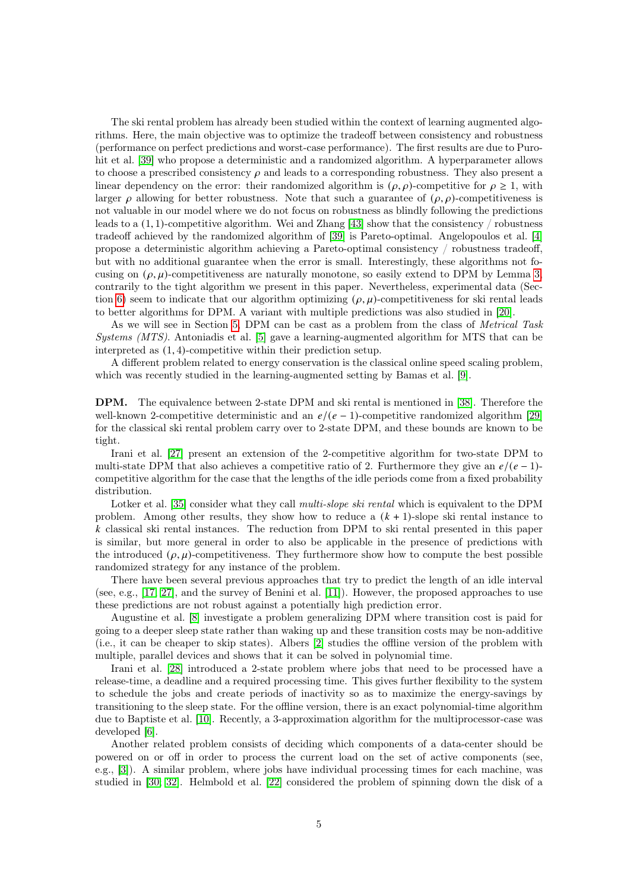The ski rental problem has already been studied within the context of learning augmented algorithms. Here, the main objective was to optimize the tradeoff between consistency and robustness (performance on perfect predictions and worst-case performance). The first results are due to Puro-hit et al. [\[39\]](#page-28-8) who propose a deterministic and a randomized algorithm. A hyperparameter allows to choose a prescribed consistency  $\rho$  and leads to a corresponding robustness. They also present a linear dependency on the error: their randomized algorithm is  $(\rho, \rho)$ -competitive for  $\rho \geq 1$ , with larger  $\rho$  allowing for better robustness. Note that such a guarantee of  $(\rho, \rho)$ -competitiveness is not valuable in our model where we do not focus on robustness as blindly following the predictions leads to a (1, 1)-competitive algorithm. Wei and Zhang [\[43\]](#page-29-0) show that the consistency / robustness tradeoff achieved by the randomized algorithm of [\[39\]](#page-28-8) is Pareto-optimal. Angelopoulos et al. [\[4\]](#page-26-1) propose a deterministic algorithm achieving a Pareto-optimal consistency / robustness tradeoff, but with no additional guarantee when the error is small. Interestingly, these algorithms not focusing on  $(\rho, \mu)$ -competitiveness are naturally monotone, so easily extend to DPM by Lemma [3,](#page-3-3) contrarily to the tight algorithm we present in this paper. Nevertheless, experimental data (Sec-tion [6\)](#page-23-0) seem to indicate that our algorithm optimizing  $(\rho, \mu)$ -competitiveness for ski rental leads to better algorithms for DPM. A variant with multiple predictions was also studied in [\[20\]](#page-27-5).

As we will see in Section [5,](#page-21-0) DPM can be cast as a problem from the class of Metrical Task Systems (MTS). Antoniadis et al. [\[5\]](#page-27-2) gave a learning-augmented algorithm for MTS that can be interpreted as (1, 4)-competitive within their prediction setup.

A different problem related to energy conservation is the classical online speed scaling problem, which was recently studied in the learning-augmented setting by Bamas et al. [\[9\]](#page-27-6).

DPM. The equivalence between 2-state DPM and ski rental is mentioned in [\[38\]](#page-28-3). Therefore the well-known 2-competitive deterministic and an  $e/(e-1)$ -competitive randomized algorithm [\[29\]](#page-28-12) for the classical ski rental problem carry over to 2-state DPM, and these bounds are known to be tight.

Irani et al. [\[27\]](#page-28-5) present an extension of the 2-competitive algorithm for two-state DPM to multi-state DPM that also achieves a competitive ratio of 2. Furthermore they give an  $e/(e-1)$ competitive algorithm for the case that the lengths of the idle periods come from a fixed probability distribution.

Lotker et al. [\[35\]](#page-28-6) consider what they call *multi-slope ski rental* which is equivalent to the DPM problem. Among other results, they show how to reduce a  $(k + 1)$ -slope ski rental instance to  $k$  classical ski rental instances. The reduction from DPM to ski rental presented in this paper is similar, but more general in order to also be applicable in the presence of predictions with the introduced  $(\rho, \mu)$ -competitiveness. They furthermore show how to compute the best possible randomized strategy for any instance of the problem.

There have been several previous approaches that try to predict the length of an idle interval (see, e.g., [\[17;](#page-27-1) [27\]](#page-28-5), and the survey of Benini et al. [\[11\]](#page-27-7)). However, the proposed approaches to use these predictions are not robust against a potentially high prediction error.

Augustine et al. [\[8\]](#page-27-8) investigate a problem generalizing DPM where transition cost is paid for going to a deeper sleep state rather than waking up and these transition costs may be non-additive (i.e., it can be cheaper to skip states). Albers [\[2\]](#page-26-0) studies the offline version of the problem with multiple, parallel devices and shows that it can be solved in polynomial time.

Irani et al. [\[28\]](#page-28-13) introduced a 2-state problem where jobs that need to be processed have a release-time, a deadline and a required processing time. This gives further flexibility to the system to schedule the jobs and create periods of inactivity so as to maximize the energy-savings by transitioning to the sleep state. For the offline version, there is an exact polynomial-time algorithm due to Baptiste et al. [\[10\]](#page-27-9). Recently, a 3-approximation algorithm for the multiprocessor-case was developed [\[6\]](#page-27-10).

Another related problem consists of deciding which components of a data-center should be powered on or off in order to process the current load on the set of active components (see, e.g., [\[3\]](#page-26-2)). A similar problem, where jobs have individual processing times for each machine, was studied in [\[30;](#page-28-14) [32\]](#page-28-15). Helmbold et al. [\[22\]](#page-27-11) considered the problem of spinning down the disk of a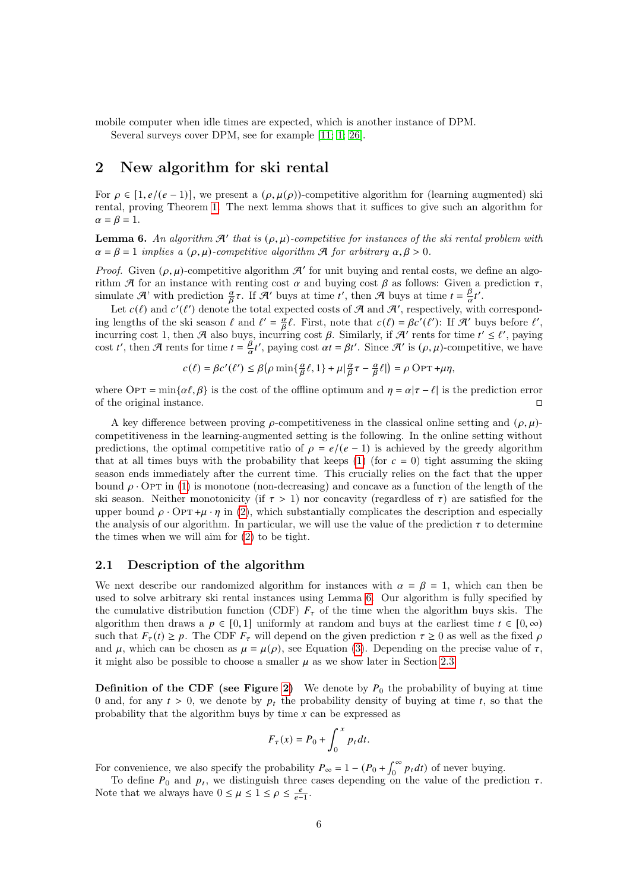mobile computer when idle times are expected, which is another instance of DPM. Several surveys cover DPM, see for example [\[11;](#page-27-7) [1;](#page-26-3) [26\]](#page-28-16).

<span id="page-5-0"></span>2 New algorithm for ski rental

For  $\rho \in [1, e/(e-1)]$ , we present a  $(\rho, \mu(\rho))$ -competitive algorithm for (learning augmented) ski rental, proving Theorem [1.](#page-2-1) The next lemma shows that it suffices to give such an algorithm for  $\alpha = \beta = 1.$ 

<span id="page-5-1"></span>**Lemma 6.** An algorithm  $\mathcal{A}'$  that is  $(\rho, \mu)$ -competitive for instances of the ski rental problem with  $\alpha = \beta = 1$  implies a  $(\rho, \mu)$ -competitive algorithm A for arbitrary  $\alpha, \beta > 0$ .

*Proof.* Given  $(\rho, \mu)$ -competitive algorithm  $\mathcal{A}'$  for unit buying and rental costs, we define an algorithm A for an instance with renting cost  $\alpha$  and buying cost  $\beta$  as follows: Given a prediction  $\tau$ , simulate A' with prediction  $\frac{\alpha}{\beta}\tau$ . If A' buys at time t', then A buys at time  $t = \frac{\beta}{\alpha}$  $\frac{\beta}{\alpha}t'$  .

Let  $c(\ell)$  and  $c'(\ell')$  denote the total expected costs of  $\mathcal A$  and  $\mathcal A'$ , respectively, with corresponding lengths of the ski season  $\ell$  and  $\ell' = \frac{a}{\beta}\ell$ . First, note that  $c(\ell) = \beta c'(\ell')$ : If  $\mathcal{A}'$  buys before  $\ell'$ , incurring cost 1, then A also buys, incurring cost  $\beta$ . Similarly, if  $\mathcal{A}'$  rents for time  $t' \leq \ell'$ , paying  $\cosh t'$ , then A rents for time  $t = \frac{\beta}{\alpha}$  $\frac{\beta}{\alpha}t'$ , paying cost  $\alpha t = \beta t'$ . Since  $\mathcal{A}'$  is  $(\rho, \mu)$ -competitive, we have

$$
c(\ell) = \beta c'(\ell') \leq \beta \big( \rho \min\{ \tfrac{\alpha}{\beta} \ell, 1 \} + \mu \big\vert \tfrac{\alpha}{\beta} \tau - \tfrac{\alpha}{\beta} \ell \big\vert \big) = \rho \, \text{OPT} + \mu \eta,
$$

where OPT = min $\{\alpha \ell, \beta\}$  is the cost of the offline optimum and  $\eta = \alpha |\tau - \ell|$  is the prediction error of the original instance.

A key difference between proving  $\rho$ -competitiveness in the classical online setting and  $(\rho, \mu)$ competitiveness in the learning-augmented setting is the following. In the online setting without predictions, the optimal competitive ratio of  $\rho = e/(e-1)$  is achieved by the greedy algorithm that at all times buys with the probability that keeps [\(1\)](#page-2-3) (for  $c = 0$ ) tight assuming the skiing season ends immediately after the current time. This crucially relies on the fact that the upper bound  $\rho \cdot \text{OPT}$  in [\(1\)](#page-2-3) is monotone (non-decreasing) and concave as a function of the length of the ski season. Neither monotonicity (if  $\tau > 1$ ) nor concavity (regardless of  $\tau$ ) are satisfied for the upper bound  $\rho \cdot \text{OPT} + \mu \cdot \eta$  in [\(2\)](#page-2-4), which substantially complicates the description and especially the analysis of our algorithm. In particular, we will use the value of the prediction  $\tau$  to determine the times when we will aim for [\(2\)](#page-2-4) to be tight.

### <span id="page-5-2"></span>2.1 Description of the algorithm

We next describe our randomized algorithm for instances with  $\alpha = \beta = 1$ , which can then be used to solve arbitrary ski rental instances using Lemma [6.](#page-5-1) Our algorithm is fully specified by the cumulative distribution function (CDF)  $F_{\tau}$  of the time when the algorithm buys skis. The algorithm then draws a  $p \in [0, 1]$  uniformly at random and buys at the earliest time  $t \in [0, \infty)$ such that  $F_{\tau}(t) \ge p$ . The CDF  $F_{\tau}$  will depend on the given prediction  $\tau \ge 0$  as well as the fixed  $\rho$ and  $\mu$ , which can be chosen as  $\mu = \mu(\rho)$ , see Equation [\(3\)](#page-2-0). Depending on the precise value of  $\tau$ , it might also be possible to choose a smaller  $\mu$  as we show later in Section [2.3.](#page-7-0)

**Definition of the CDF (see Figure [2\)](#page-6-0)** We denote by  $P_0$  the probability of buying at time 0 and, for any  $t > 0$ , we denote by  $p_t$  the probability density of buying at time t, so that the probability that the algorithm buys by time  $x$  can be expressed as

$$
F_{\tau}(x) = P_0 + \int_0^x p_t dt.
$$

For convenience, we also specify the probability  $P_{\infty} = 1 - (P_0 + \int_0^{\infty} p_t dt)$  of never buying.

To define  $P_0$  and  $p_t$ , we distinguish three cases depending on the value of the prediction  $\tau$ . Note that we always have  $0 \leq \mu \leq 1 \leq \rho \leq \frac{e}{e-1}$ .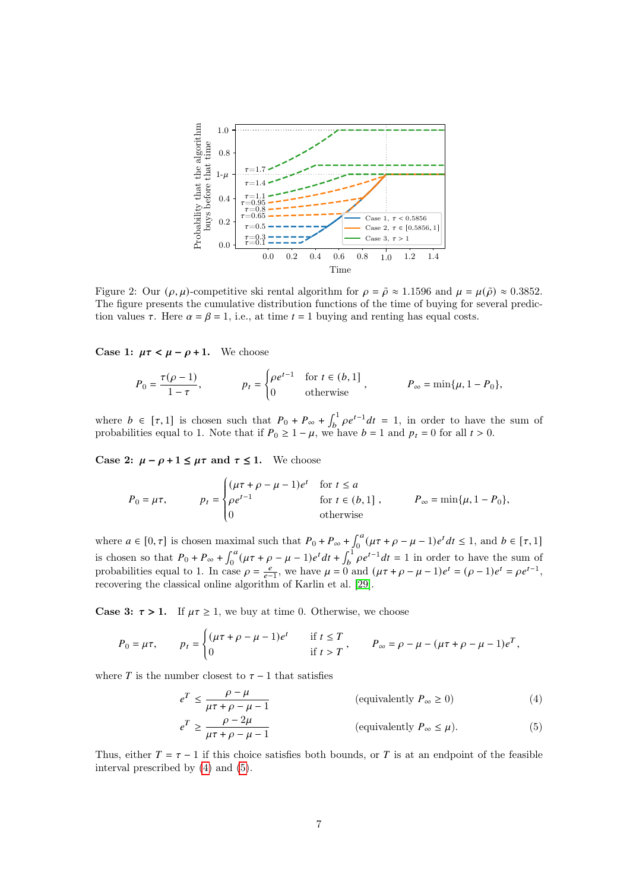<span id="page-6-0"></span>

Figure 2: Our  $(\rho, \mu)$ -competitive ski rental algorithm for  $\rho = \tilde{\rho} \approx 1.1596$  and  $\mu = \mu(\tilde{\rho}) \approx 0.3852$ . The figure presents the cumulative distribution functions of the time of buying for several prediction values  $\tau$ . Here  $\alpha = \beta = 1$ , i.e., at time  $t = 1$  buying and renting has equal costs.

Case 1:  $\mu \tau < \mu - \rho + 1$ . We choose

$$
P_0 = \frac{\tau(\rho - 1)}{1 - \tau}, \qquad p_t = \begin{cases} \rho e^{t - 1} & \text{for } t \in (b, 1] \\ 0 & \text{otherwise} \end{cases}, \qquad P_\infty = \min\{\mu, 1 - P_0\},
$$

where  $b \in [\tau, 1]$  is chosen such that  $P_0 + P_{\infty} + \int_b^1 \rho e^{t-1} dt = 1$ , in order to have the sum of probabilities equal to 1. Note that if  $P_0 \ge 1 - \mu$ , we have  $b = 1$  and  $p_t = 0$  for all  $t > 0$ .

Case 2:  $\mu - \rho + 1 \leq \mu \tau$  and  $\tau \leq 1$ . We choose

J.

$$
P_0 = \mu \tau, \qquad \qquad p_t = \begin{cases} (\mu \tau + \rho - \mu - 1)e^t & \text{for } t \le a \\ \rho e^{t-1} & \text{for } t \in (b, 1] \\ 0 & \text{otherwise} \end{cases} \qquad \qquad P_\infty = \min\{\mu, 1 - P_0\},
$$

where  $a \in [0, \tau]$  is chosen maximal such that  $P_0 + P_\infty + \int_0^a (\mu \tau + \rho - \mu - 1)e^t dt \le 1$ , and  $b \in [\tau, 1]$ is chosen so that  $P_0 + P_\infty + \int_0^a (\mu \tau + \rho - \mu - 1)e^t dt + \int_b^1 \rho e^{t-1} dt = 1$  in order to have the sum of probabilities equal to 1. In case  $\rho = \frac{e}{e-1}$ , we have  $\mu = 0$  and  $(\mu \tau + \rho - \mu - 1)e^t = (\rho - 1)e^t = \rho e^{t-1}$ , recovering the classical online algorithm of Karlin et al. [\[29\]](#page-28-12).

**Case 3:**  $\tau > 1$ . If  $\mu \tau \geq 1$ , we buy at time 0. Otherwise, we choose

$$
P_0 = \mu \tau, \qquad p_t = \begin{cases} (\mu \tau + \rho - \mu - 1)e^t & \text{if } t \le T \\ 0 & \text{if } t > T \end{cases}, \qquad P_\infty = \rho - \mu - (\mu \tau + \rho - \mu - 1)e^T,
$$

where  $T$  is the number closest to  $\tau - 1$  that satisfies

 $e^T \leq$ 

<span id="page-6-2"></span><span id="page-6-1"></span>
$$
\frac{\rho - \mu}{\mu \tau + \rho - \mu - 1}
$$
 (equivalently  $P_{\infty} \ge 0$ ) (4)

$$
e^{T} \ge \frac{\rho - 2\mu}{\mu \tau + \rho - \mu - 1}
$$
 (equivalently  $P_{\infty} \le \mu$ ). (5)

Thus, either  $T = \tau - 1$  if this choice satisfies both bounds, or T is at an endpoint of the feasible interval prescribed by [\(4\)](#page-6-1) and [\(5\)](#page-6-2).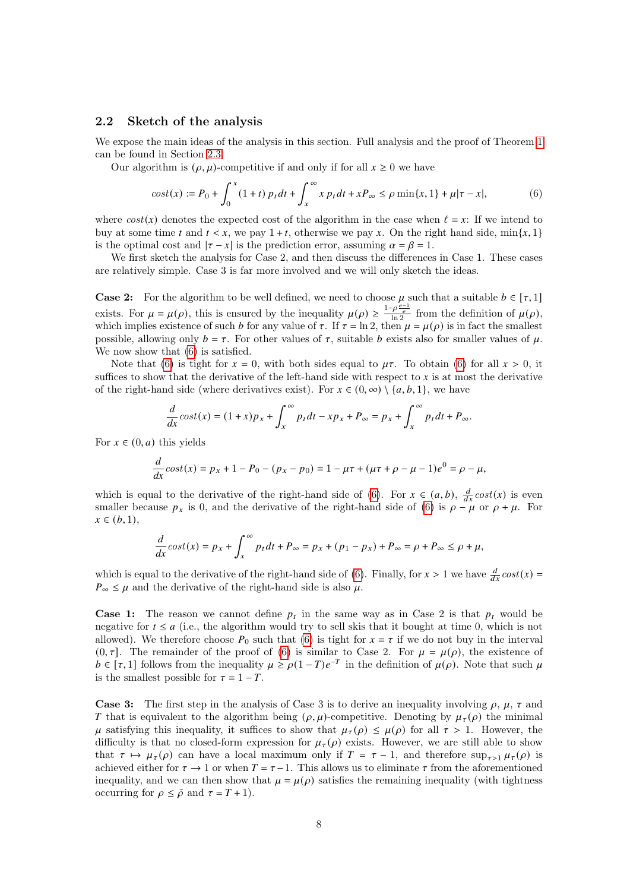#### 2.2 Sketch of the analysis

We expose the main ideas of the analysis in this section. Full analysis and the proof of Theorem [1](#page-2-1) can be found in Section [2.3.](#page-7-0)

Our algorithm is  $(\rho, \mu)$ -competitive if and only if for all  $x \geq 0$  we have

<span id="page-7-1"></span>
$$
cost(x) := P_0 + \int_0^x (1+t) p_t dt + \int_x^\infty x p_t dt + xP_\infty \le \rho \min\{x, 1\} + \mu |\tau - x|,
$$
(6)

where  $cost(x)$  denotes the expected cost of the algorithm in the case when  $\ell = x$ : If we intend to buy at some time t and  $t < x$ , we pay  $1 + t$ , otherwise we pay x. On the right hand side, min{x, 1} is the optimal cost and  $|\tau - x|$  is the prediction error, assuming  $\alpha = \beta = 1$ .

We first sketch the analysis for Case 2, and then discuss the differences in Case 1. These cases are relatively simple. Case 3 is far more involved and we will only sketch the ideas.

**Case 2:** For the algorithm to be well defined, we need to choose  $\mu$  such that a suitable  $b \in [\tau, 1]$ exists. For  $\mu = \mu(\rho)$ , this is ensured by the inequality  $\mu(\rho) \geq \frac{1-\rho \frac{\rho-1}{\rho}}{\ln 2}$  from the definition of  $\mu(\rho)$ , which implies existence of such b for any value of  $\tau$ . If  $\tau = \ln 2$ , then  $\mu = \mu(\rho)$  is in fact the smallest possible, allowing only  $b = \tau$ . For other values of  $\tau$ , suitable b exists also for smaller values of  $\mu$ . We now show that [\(6\)](#page-7-1) is satisfied.

Note that [\(6\)](#page-7-1) is tight for  $x = 0$ , with both sides equal to  $\mu\tau$ . To obtain (6) for all  $x > 0$ , it suffices to show that the derivative of the left-hand side with respect to  $x$  is at most the derivative of the right-hand side (where derivatives exist). For  $x \in (0, \infty) \setminus \{a, b, 1\}$ , we have

$$
\frac{d}{dx}\cos t(x) = (1+x)p_x + \int_x^{\infty} p_t dt - xp_x + P_{\infty} = p_x + \int_x^{\infty} p_t dt + P_{\infty}.
$$

For  $x \in (0, a)$  this yields

$$
\frac{d}{dx}\cos t(x) = p_x + 1 - P_0 - (p_x - p_0) = 1 - \mu\tau + (\mu\tau + \rho - \mu - 1)e^0 = \rho - \mu,
$$

which is equal to the derivative of the right-hand side of [\(6\)](#page-7-1). For  $x \in (a, b)$ ,  $\frac{d}{dx} cost(x)$  is even smaller because  $p_x$  is 0, and the derivative of the right-hand side of [\(6\)](#page-7-1) is  $\rho - \mu$  or  $\rho + \mu$ . For  $x \in (b, 1),$ 

$$
\frac{d}{dx}\cos t(x) = p_x + \int_x^{\infty} p_t dt + P_{\infty} = p_x + (p_1 - p_x) + P_{\infty} = \rho + P_{\infty} \le \rho + \mu,
$$

which is equal to the derivative of the right-hand side of [\(6\)](#page-7-1). Finally, for  $x > 1$  we have  $\frac{d}{dx} cost(x) =$  $P_{\infty} \leq \mu$  and the derivative of the right-hand side is also  $\mu$ .

**Case 1:** The reason we cannot define  $p_t$  in the same way as in Case 2 is that  $p_t$  would be negative for  $t \le a$  (i.e., the algorithm would try to sell skis that it bought at time 0, which is not allowed). We therefore choose  $P_0$  such that [\(6\)](#page-7-1) is tight for  $x = \tau$  if we do not buy in the interval  $(0, \tau]$ . The remainder of the proof of [\(6\)](#page-7-1) is similar to Case 2. For  $\mu = \mu(\rho)$ , the existence of  $b \in [\tau, 1]$  follows from the inequality  $\mu \ge \rho (1-T) e^{-T}$  in the definition of  $\mu(\rho)$ . Note that such  $\mu$ is the smallest possible for  $\tau = 1 - T$ .

<span id="page-7-0"></span>**Case 3:** The first step in the analysis of Case 3 is to derive an inequality involving  $\rho$ ,  $\mu$ ,  $\tau$  and T that is equivalent to the algorithm being  $(\rho, \mu)$ -competitive. Denoting by  $\mu_{\tau}(\rho)$  the minimal  $\mu$  satisfying this inequality, it suffices to show that  $\mu_{\tau}(\rho) \leq \mu(\rho)$  for all  $\tau > 1$ . However, the difficulty is that no closed-form expression for  $\mu_{\tau}(\rho)$  exists. However, we are still able to show that  $\tau \mapsto \mu_{\tau}(\rho)$  can have a local maximum only if  $T = \tau - 1$ , and therefore  $\sup_{\tau>1} \mu_{\tau}(\rho)$  is achieved either for  $\tau \to 1$  or when  $T = \tau - 1$ . This allows us to eliminate  $\tau$  from the aforementioned inequality, and we can then show that  $\mu = \mu(\rho)$  satisfies the remaining inequality (with tightness occurring for  $\rho \leq \tilde{\rho}$  and  $\tau = T + 1$ .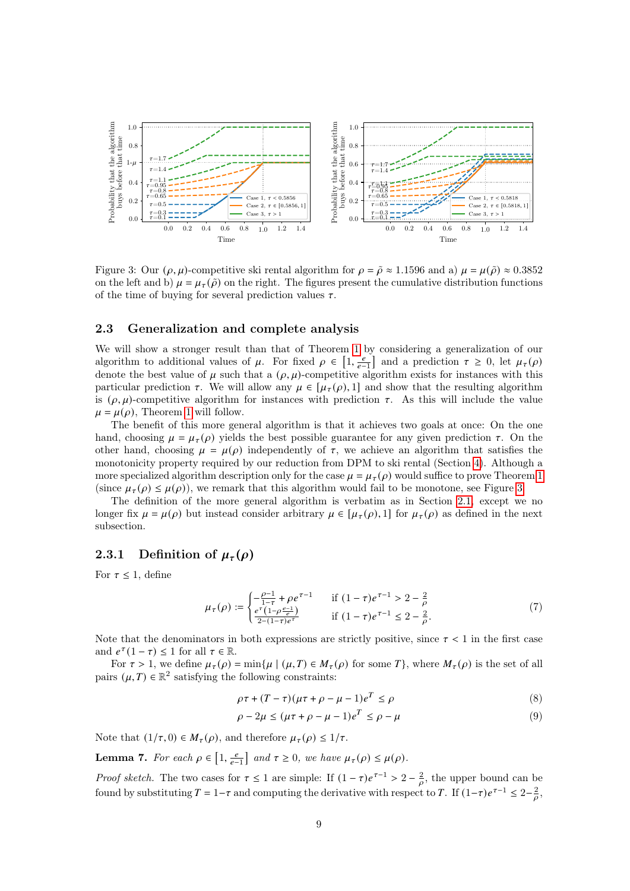<span id="page-8-0"></span>

Figure 3: Our  $(\rho, \mu)$ -competitive ski rental algorithm for  $\rho = \tilde{\rho} \approx 1.1596$  and a)  $\mu = \mu(\tilde{\rho}) \approx 0.3852$ on the left and b)  $\mu = \mu_{\tau}(\tilde{\rho})$  on the right. The figures present the cumulative distribution functions of the time of buying for several prediction values  $\tau$ .

#### 2.3 Generalization and complete analysis

We will show a stronger result than that of Theorem [1](#page-2-1) by considering a generalization of our algorithm to additional values of  $\mu$ . For fixed  $\rho \in \left[1, \frac{e}{e-1}\right]$  and a prediction  $\tau \geq 0$ , let  $\mu_{\tau}(\rho)$ denote the best value of  $\mu$  such that a  $(\rho, \mu)$ -competitive algorithm exists for instances with this particular prediction  $\tau$ . We will allow any  $\mu \in [\mu_{\tau}(\rho), 1]$  and show that the resulting algorithm is  $(\rho, \mu)$ -competitive algorithm for instances with prediction  $\tau$ . As this will include the value  $\mu = \mu(\rho)$ , Theorem [1](#page-2-1) will follow.

The benefit of this more general algorithm is that it achieves two goals at once: On the one hand, choosing  $\mu = \mu_{\tau}(\rho)$  yields the best possible guarantee for any given prediction  $\tau$ . On the other hand, choosing  $\mu = \mu(\rho)$  independently of  $\tau$ , we achieve an algorithm that satisfies the monotonicity property required by our reduction from DPM to ski rental (Section [4\)](#page-18-0). Although a more specialized algorithm description only for the case  $\mu = \mu_{\tau}(\rho)$  would suffice to prove Theorem [1](#page-2-1) (since  $\mu_{\tau}(\rho) \leq \mu(\rho)$ ), we remark that this algorithm would fail to be monotone, see Figure [3.](#page-8-0)

The definition of the more general algorithm is verbatim as in Section [2.1,](#page-5-2) except we no longer fix  $\mu = \mu(\rho)$  but instead consider arbitrary  $\mu \in [\mu_{\tau}(\rho), 1]$  for  $\mu_{\tau}(\rho)$  as defined in the next subsection.

## <span id="page-8-5"></span>2.3.1 Definition of  $\mu_\tau(\rho)$

For  $\tau \leq 1$ , define

$$
\mu_{\tau}(\rho) := \begin{cases}\n-\frac{\rho - 1}{1 - \tau} + \rho e^{\tau - 1} & \text{if } (1 - \tau)e^{\tau - 1} > 2 - \frac{2}{\rho} \\
\frac{e^{\tau}(1 - \rho \frac{e - 1}{e})}{2 - (1 - \tau)e^{\tau}} & \text{if } (1 - \tau)e^{\tau - 1} \le 2 - \frac{2}{\rho}.\n\end{cases} (7)
$$

Note that the denominators in both expressions are strictly positive, since  $\tau < 1$  in the first case and  $e^{\tau}(1-\tau) \leq 1$  for all  $\tau \in \mathbb{R}$ .

For  $\tau > 1$ , we define  $\mu_{\tau}(\rho) = \min{\{\mu \mid (\mu, T) \in M_{\tau}(\rho) \text{ for some } T\}}$ , where  $M_{\tau}(\rho)$  is the set of all pairs  $(\mu, T) \in \mathbb{R}^2$  satisfying the following constraints:

<span id="page-8-3"></span><span id="page-8-2"></span>
$$
\rho \tau + (T - \tau)(\mu \tau + \rho - \mu - 1)e^{T} \le \rho \tag{8}
$$

<span id="page-8-4"></span>
$$
\rho - 2\mu \le (\mu \tau + \rho - \mu - 1)e^T \le \rho - \mu \tag{9}
$$

Note that  $(1/\tau, 0) \in M_{\tau}(\rho)$ , and therefore  $\mu_{\tau}(\rho) \leq 1/\tau$ .

<span id="page-8-1"></span>**Lemma 7.** For each  $\rho \in \left[1, \frac{e}{e-1}\right]$  and  $\tau \geq 0$ , we have  $\mu_{\tau}(\rho) \leq \mu(\rho)$ .

*Proof sketch*. The two cases for  $\tau \leq 1$  are simple: If  $(1 - \tau)e^{\tau-1} > 2 - \frac{2}{\rho}$ , the upper bound can be found by substituting  $T = 1 - \tau$  and computing the derivative with respect to T. If  $(1-\tau)e^{\tau-1} \leq 2-\frac{2}{\sigma}$ ,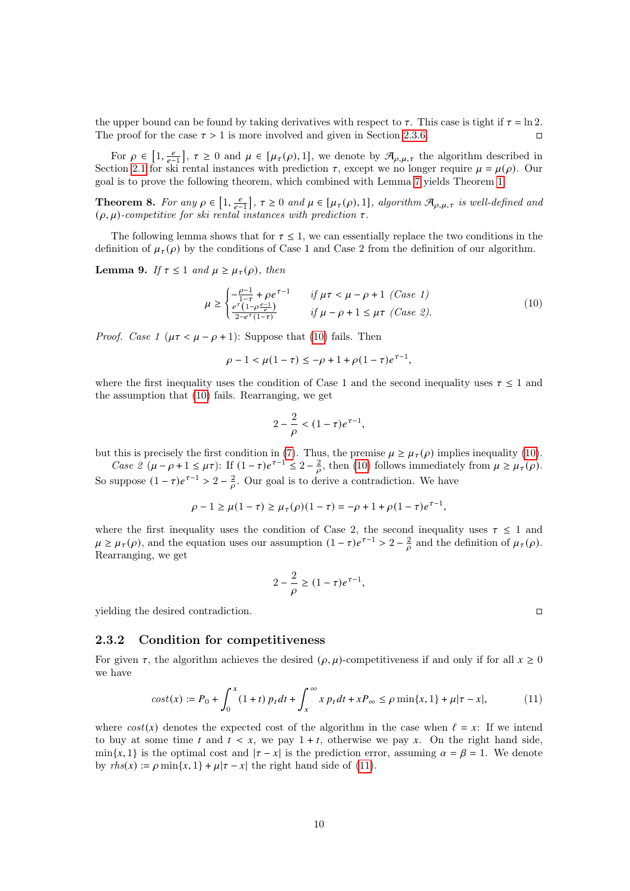the upper bound can be found by taking derivatives with respect to  $\tau$ . This case is tight if  $\tau = \ln 2$ . The proof for the case  $\tau > 1$  is more involved and given in Section [2.3.6.](#page-13-0)

For  $\rho \in [1, \frac{e}{e-1}]$ ,  $\tau \geq 0$  and  $\mu \in [\mu_{\tau}(\rho), 1]$ , we denote by  $\mathcal{A}_{\rho,\mu,\tau}$  the algorithm described in Section [2.1](#page-5-2) for ski rental instances with prediction  $\tau$ , except we no longer require  $\mu = \mu(\rho)$ . Our goal is to prove the following theorem, which combined with Lemma [7](#page-8-1) yields Theorem [1.](#page-2-1)

**Theorem 8.** For any  $\rho \in \left[1, \frac{e}{e-1}\right]$ ,  $\tau \geq 0$  and  $\mu \in [\mu_{\tau}(\rho), 1]$ , algorithm  $\mathcal{A}_{\rho,\mu,\tau}$  is well-defined and  $(\rho, \mu)$ -competitive for ski rental instances with prediction  $\tau$ .

The following lemma shows that for  $\tau \leq 1$ , we can essentially replace the two conditions in the definition of  $\mu_{\tau}(\rho)$  by the conditions of Case 1 and Case 2 from the definition of our algorithm.

<span id="page-9-2"></span>**Lemma 9.** If  $\tau \leq 1$  and  $\mu \geq \mu_{\tau}(\rho)$ , then

$$
\mu \ge \begin{cases}\n-\frac{\rho - 1}{1 - \tau} + \rho e^{\tau - 1} & \text{if } \mu \tau < \mu - \rho + 1 \ (Case \ 1) \\
\frac{e^{\tau} (1 - \rho \frac{e - 1}{e})}{2 - e^{\tau} (1 - \tau)} & \text{if } \mu - \rho + 1 \le \mu \tau \ (Case \ 2).\n\end{cases} \tag{10}
$$

*Proof.* Case 1 ( $\mu \tau < \mu - \rho + 1$ ): Suppose that [\(10\)](#page-9-0) fails. Then

$$
\rho - 1 < \mu(1 - \tau) \le -\rho + 1 + \rho(1 - \tau)e^{\tau - 1},
$$

where the first inequality uses the condition of Case 1 and the second inequality uses  $\tau \leq 1$  and the assumption that [\(10\)](#page-9-0) fails. Rearranging, we get

<span id="page-9-0"></span>
$$
2 - \frac{2}{\rho} < (1 - \tau)e^{\tau - 1},
$$

but this is precisely the first condition in [\(7\)](#page-8-2). Thus, the premise  $\mu \ge \mu_\tau(\rho)$  implies inequality [\(10\)](#page-9-0).

Case  $2(\mu - \rho + 1 \leq \mu \tau)$ : If  $(1 - \tau)e^{\tau - 1} \leq 2 - \frac{2}{\rho}$ , then [\(10\)](#page-9-0) follows immediately from  $\mu \geq \mu_{\tau}(\rho)$ . So suppose  $(1 - \tau)e^{\tau - 1} > 2 - \frac{2}{\rho}$ . Our goal is to derive a contradiction. We have

$$
\rho - 1 \ge \mu(1 - \tau) \ge \mu_{\tau}(\rho)(1 - \tau) = -\rho + 1 + \rho(1 - \tau)e^{\tau - 1},
$$

where the first inequality uses the condition of Case 2, the second inequality uses  $\tau \leq 1$  and  $\mu \geq \mu_{\tau}(\rho)$ , and the equation uses our assumption  $(1 - \tau)e^{\tau - 1} > 2 - \frac{2}{\rho}$  and the definition of  $\mu_{\tau}(\rho)$ . Rearranging, we get

$$
2 - \frac{2}{\rho} \ge (1 - \tau)e^{\tau - 1},
$$

yielding the desired contradiction.

#### 2.3.2 Condition for competitiveness

For given  $\tau$ , the algorithm achieves the desired  $(\rho, \mu)$ -competitiveness if and only if for all  $x \ge 0$ we have

<span id="page-9-1"></span>
$$
cost(x) := P_0 + \int_0^x (1+t) p_t dt + \int_x^\infty x p_t dt + xP_\infty \le \rho \min\{x, 1\} + \mu |\tau - x|,
$$
 (11)

where  $cost(x)$  denotes the expected cost of the algorithm in the case when  $\ell = x$ : If we intend to buy at some time  $t$  and  $t < x$ , we pay  $1 + t$ , otherwise we pay x. On the right hand side,  $\min\{x, 1\}$  is the optimal cost and  $|\tau - x|$  is the prediction error, assuming  $\alpha = \beta = 1$ . We denote by  $rhs(x) := \rho \min\{x, 1\} + \mu |\tau - x|$  the right hand side of [\(11\)](#page-9-1).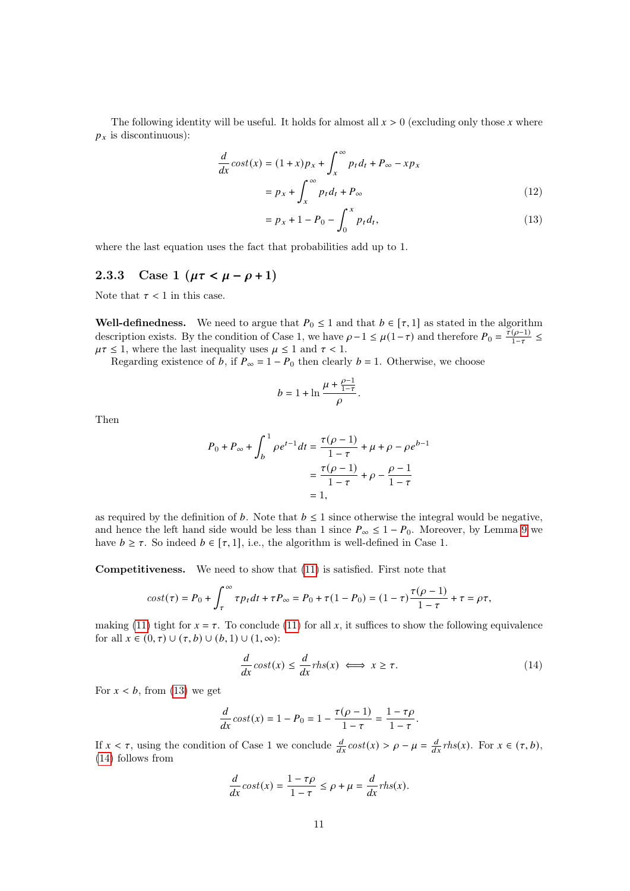The following identity will be useful. It holds for almost all  $x > 0$  (excluding only those x where  $p_x$  is discontinuous):

$$
\frac{d}{dx}\cos t(x) = (1+x)p_x + \int_x^{\infty} p_t d_t + P_{\infty} - xp_x
$$

$$
= p_x + \int_x^{\infty} p_t d_t + P_{\infty}
$$
(12)

<span id="page-10-2"></span><span id="page-10-0"></span>
$$
= p_x + 1 - P_0 - \int_0^x p_t d_t,
$$
\n(13)

where the last equation uses the fact that probabilities add up to 1.

## 2.3.3 Case 1 ( $\mu \tau < \mu - \rho + 1$ )

Note that  $\tau < 1$  in this case.

Well-definedness. We need to argue that  $P_0 \leq 1$  and that  $b \in [\tau, 1]$  as stated in the algorithm description exists. By the condition of Case 1, we have  $\rho - 1 \leq \mu(1 - \tau)$  and therefore  $P_0 = \frac{\tau(\rho-1)}{1-\tau}$  $\frac{(\rho-1)}{1-\tau} \leq$  $\mu\tau \leq 1$ , where the last inequality uses  $\mu \leq 1$  and  $\tau < 1$ .

Regarding existence of b, if  $P_{\infty} = 1 - P_0$  then clearly  $b = 1$ . Otherwise, we choose

$$
b=1+\ln\frac{\mu+\frac{\rho-1}{1-\tau}}{\rho}.
$$

Then

$$
P_0 + P_{\infty} + \int_b^1 \rho e^{t-1} dt = \frac{\tau(\rho - 1)}{1 - \tau} + \mu + \rho - \rho e^{b-1}
$$

$$
= \frac{\tau(\rho - 1)}{1 - \tau} + \rho - \frac{\rho - 1}{1 - \tau}
$$

$$
= 1,
$$

as required by the definition of b. Note that  $b \leq 1$  since otherwise the integral would be negative, and hence the left hand side would be less than 1 since  $P_{\infty} \leq 1 - P_0$ . Moreover, by Lemma [9](#page-9-2) we have  $b \geq \tau$ . So indeed  $b \in [\tau, 1]$ , i.e., the algorithm is well-defined in Case 1.

Competitiveness. We need to show that [\(11\)](#page-9-1) is satisfied. First note that

$$
cost(\tau) = P_0 + \int_{\tau}^{\infty} \tau p_t dt + \tau P_{\infty} = P_0 + \tau (1 - P_0) = (1 - \tau) \frac{\tau(\rho - 1)}{1 - \tau} + \tau = \rho \tau,
$$

making [\(11\)](#page-9-1) tight for  $x = \tau$ . To conclude (11) for all x, it suffices to show the following equivalence for all  $x \in (0, \tau) \cup (\tau, b) \cup (b, 1) \cup (1, \infty)$ :

<span id="page-10-1"></span>
$$
\frac{d}{dx}\cos t(x) \le \frac{d}{dx}r\hbar s(x) \iff x \ge \tau.
$$
\n(14)

For  $x < b$ , from [\(13\)](#page-10-0) we get

$$
\frac{d}{dx}\cos t(x) = 1 - P_0 = 1 - \frac{\tau(\rho - 1)}{1 - \tau} = \frac{1 - \tau\rho}{1 - \tau}.
$$

If  $x < \tau$ , using the condition of Case 1 we conclude  $\frac{d}{dx} cost(x) > \rho - \mu = \frac{d}{dx} rhs(x)$ . For  $x \in (\tau, b)$ , [\(14\)](#page-10-1) follows from

$$
\frac{d}{dx}cost(x) = \frac{1-\tau\rho}{1-\tau} \leq \rho + \mu = \frac{d}{dx}rhs(x).
$$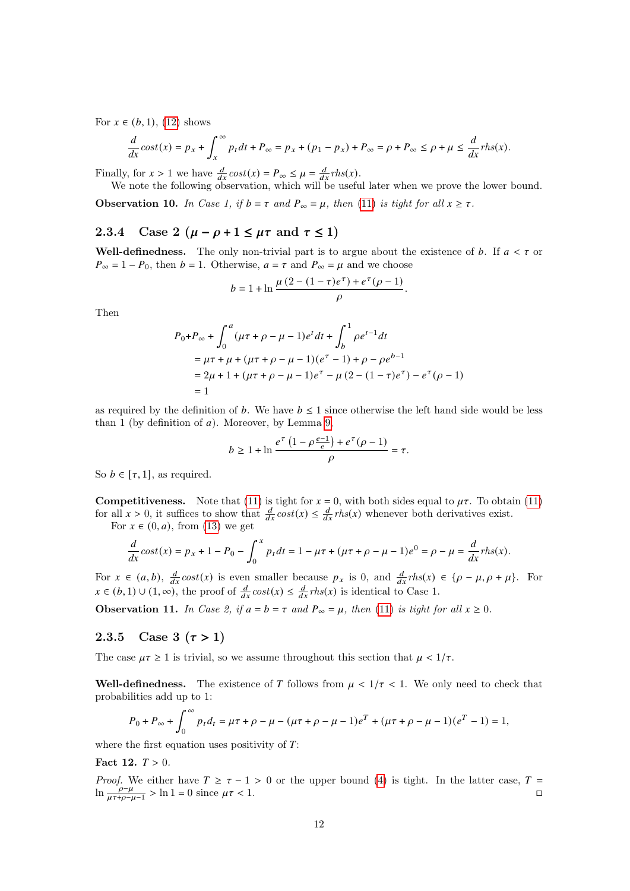For  $x \in (b, 1)$ , [\(12\)](#page-10-2) shows

$$
\frac{d}{dx}\cos t(x) = p_x + \int_x^{\infty} p_t dt + P_{\infty} = p_x + (p_1 - p_x) + P_{\infty} = \rho + P_{\infty} \le \rho + \mu \le \frac{d}{dx} \text{rhs}(x).
$$

Finally, for  $x > 1$  we have  $\frac{d}{dx} \cos t(x) = P_{\infty} \leq \mu = \frac{d}{dx} r h s(x)$ .

We note the following observation, which will be useful later when we prove the lower bound.

<span id="page-11-0"></span>**Observation 10.** In Case 1, if  $b = \tau$  and  $P_{\infty} = \mu$ , then [\(11\)](#page-9-1) is tight for all  $x \geq \tau$ .

## 2.3.4 Case 2  $(\mu - \rho + 1 \leq \mu \tau \text{ and } \tau \leq 1)$

Well-definedness. The only non-trivial part is to argue about the existence of b. If  $a < \tau$  or  $P_{\infty} = 1 - P_0$ , then  $b = 1$ . Otherwise,  $a = \tau$  and  $P_{\infty} = \mu$  and we choose

$$
b = 1 + \ln \frac{\mu (2 - (1 - \tau) e^{\tau}) + e^{\tau} (\rho - 1)}{\rho}.
$$

Then

$$
P_0 + P_\infty + \int_0^a (\mu \tau + \rho - \mu - 1)e^t dt + \int_b^1 \rho e^{t-1} dt
$$
  
=  $\mu \tau + \mu + (\mu \tau + \rho - \mu - 1)(e^{\tau} - 1) + \rho - \rho e^{b-1}$   
=  $2\mu + 1 + (\mu \tau + \rho - \mu - 1)e^{\tau} - \mu (2 - (1 - \tau)e^{\tau}) - e^{\tau} (\rho - 1)$   
= 1

as required by the definition of b. We have  $b \leq 1$  since otherwise the left hand side would be less than 1 (by definition of  $a$ ). Moreover, by Lemma [9,](#page-9-2)

$$
b \ge 1 + \ln \frac{e^{\tau} \left(1 - \rho \frac{e-1}{e}\right) + e^{\tau} (\rho - 1)}{\rho} = \tau.
$$

So  $b \in [\tau, 1]$ , as required.

**Competitiveness.** Note that [\(11\)](#page-9-1) is tight for  $x = 0$ , with both sides equal to  $\mu\tau$ . To obtain (11) for all  $x > 0$ , it suffices to show that  $\frac{d}{dx} \cos t(x) \leq \frac{d}{dx} r h s(x)$  whenever both derivatives exist.

For  $x \in (0, a)$ , from [\(13\)](#page-10-0) we get

$$
\frac{d}{dx}cost(x) = p_x + 1 - P_0 - \int_0^x p_t dt = 1 - \mu\tau + (\mu\tau + \rho - \mu - 1)e^0 = \rho - \mu = \frac{d}{dx}rhs(x).
$$

For  $x \in (a, b)$ ,  $\frac{d}{dx} cost(x)$  is even smaller because  $p_x$  is 0, and  $\frac{d}{dx} rhs(x) \in {\rho - \mu, \rho + \mu}.$  For  $x \in (b, 1) \cup (1, \infty)$ , the proof of  $\frac{d}{dx} cost(x) \leq \frac{d}{dx} rhs(x)$  is identical to Case 1.

<span id="page-11-1"></span>Observation 11. In Case 2, if  $a = b = \tau$  and  $P_{\infty} = \mu$ , then [\(11\)](#page-9-1) is tight for all  $x \ge 0$ .

## <span id="page-11-3"></span>2.3.5 Case 3  $(\tau > 1)$

The case  $\mu \tau \geq 1$  is trivial, so we assume throughout this section that  $\mu < 1/\tau$ .

Well-definedness. The existence of T follows from  $\mu < 1/\tau < 1$ . We only need to check that probabilities add up to 1:

$$
P_0 + P_{\infty} + \int_0^{\infty} p_t d_t = \mu \tau + \rho - \mu - (\mu \tau + \rho - \mu - 1)e^{T} + (\mu \tau + \rho - \mu - 1)(e^{T} - 1) = 1,
$$

where the first equation uses positivity of  $T$ :

<span id="page-11-2"></span>Fact 12.  $T > 0$ .

*Proof.* We either have  $T \ge \tau - 1 > 0$  or the upper bound [\(4\)](#page-6-1) is tight. In the latter case,  $T =$ ln  $\frac{\rho-\mu}{\mu\tau+\rho-\mu-1}$  > ln 1 = 0 since  $\mu\tau$  < 1.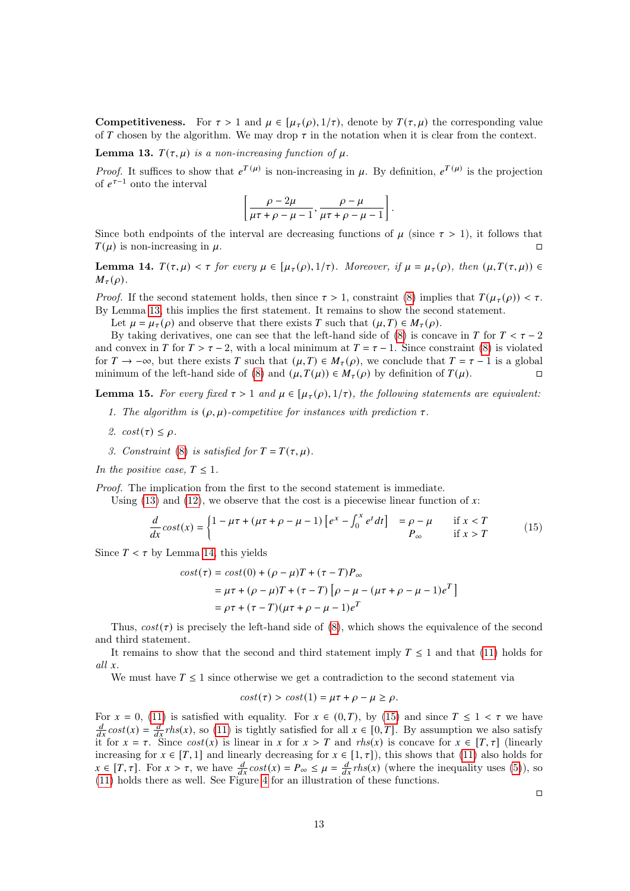**Competitiveness.** For  $\tau > 1$  and  $\mu \in [\mu_{\tau}(\rho), 1/\tau)$ , denote by  $T(\tau, \mu)$  the corresponding value of T chosen by the algorithm. We may drop  $\tau$  in the notation when it is clear from the context.

<span id="page-12-0"></span>**Lemma 13.**  $T(\tau, \mu)$  is a non-increasing function of  $\mu$ .

*Proof.* It suffices to show that  $e^{T(\mu)}$  is non-increasing in  $\mu$ . By definition,  $e^{T(\mu)}$  is the projection of  $e^{\tau-1}$  onto the interval

$$
\left[\frac{\rho-2\mu}{\mu\tau+\rho-\mu-1},\frac{\rho-\mu}{\mu\tau+\rho-\mu-1}\right].
$$

Since both endpoints of the interval are decreasing functions of  $\mu$  (since  $\tau > 1$ ), it follows that  $T(\mu)$  is non-increasing in  $\mu$ .

<span id="page-12-1"></span>Lemma 14.  $T(\tau, \mu) < \tau$  for every  $\mu \in [\mu_{\tau}(\rho), 1/\tau)$ . Moreover, if  $\mu = \mu_{\tau}(\rho)$ , then  $(\mu, T(\tau, \mu)) \in$  $M_{\tau}(\rho)$ .

*Proof.* If the second statement holds, then since  $\tau > 1$ , constraint [\(8\)](#page-8-3) implies that  $T(\mu_{\tau}(\rho)) < \tau$ . By Lemma [13,](#page-12-0) this implies the first statement. It remains to show the second statement.

Let  $\mu = \mu_{\tau}(\rho)$  and observe that there exists T such that  $(\mu, T) \in M_{\tau}(\rho)$ .

By taking derivatives, one can see that the left-hand side of [\(8\)](#page-8-3) is concave in T for  $T < \tau - 2$ and convex in T for  $T > \tau - 2$ , with a local minimum at  $T = \tau - 1$ . Since constraint [\(8\)](#page-8-3) is violated for  $T \to -\infty$ , but there exists T such that  $(\mu, T) \in M_{\tau}(\rho)$ , we conclude that  $T = \tau - 1$  is a global minimum of the left-hand side of [\(8\)](#page-8-3) and  $(\mu, T(\mu)) \in M_{\tau}(\rho)$  by definition of  $T(\mu)$ .

<span id="page-12-3"></span>**Lemma 15.** For every fixed  $\tau > 1$  and  $\mu \in [\mu_{\tau}(\rho), 1/\tau)$ , the following statements are equivalent:

- 1. The algorithm is  $(\rho, \mu)$ -competitive for instances with prediction  $\tau$ .
- 2.  $cost(\tau) \leq \rho$ .
- 3. Constraint [\(8\)](#page-8-3) is satisfied for  $T = T(\tau, \mu)$ .

In the positive case,  $T \leq 1$ .

Proof. The implication from the first to the second statement is immediate.

Using [\(13\)](#page-10-0) and [\(12\)](#page-10-2), we observe that the cost is a piecewise linear function of x:

$$
\frac{d}{dx}\cos t(x) = \begin{cases} 1 - \mu\tau + (\mu\tau + \rho - \mu - 1) \left[ e^x - \int_0^x e^t dt \right] &= \rho - \mu & \text{if } x < T \\ P_\infty & \text{if } x > T \end{cases} \tag{15}
$$

Since  $T < \tau$  by Lemma [14,](#page-12-1) this yields

$$
cost(\tau) = cost(0) + (\rho - \mu)T + (\tau - T)P_{\infty}
$$
  
=  $\mu\tau + (\rho - \mu)T + (\tau - T) [\rho - \mu - (\mu\tau + \rho - \mu - 1)e^{T}]$   
=  $\rho\tau + (\tau - T)(\mu\tau + \rho - \mu - 1)e^{T}$ 

Thus,  $cost(\tau)$  is precisely the left-hand side of [\(8\)](#page-8-3), which shows the equivalence of the second and third statement.

It remains to show that the second and third statement imply  $T \leq 1$  and that [\(11\)](#page-9-1) holds for all  $x$ .

We must have  $T \leq 1$  since otherwise we get a contradiction to the second statement via

$$
cost(\tau) > cost(1) = \mu \tau + \rho - \mu \ge \rho.
$$

For  $x = 0$ , [\(11\)](#page-9-1) is satisfied with equality. For  $x \in (0, T)$ , by [\(15\)](#page-12-2) and since  $T \le 1 < \tau$  we have  $\frac{d}{dx}$ cost(x) =  $\frac{d}{dx}$ rhs(x), so [\(11\)](#page-9-1) is tightly satisfied for all  $x \in [0,T]$ . By assumption we also satisfy it for  $x = \tau$ . Since  $cost(x)$  is linear in x for  $x > T$  and  $rhs(x)$  is concave for  $x \in [T, \tau]$  (linearly increasing for  $x \in [T, 1]$  and linearly decreasing for  $x \in [1, \tau]$ , this shows that [\(11\)](#page-9-1) also holds for  $x \in [T, \tau]$ . For  $x > \tau$ , we have  $\frac{d}{dx} cost(x) = P_{\infty} \leq \mu = \frac{d}{dx} rhs(x)$  (where the inequality uses [\(5\)](#page-6-2)), so [\(11\)](#page-9-1) holds there as well. See Figure [4](#page-13-1) for an illustration of these functions.

<span id="page-12-2"></span> $\Box$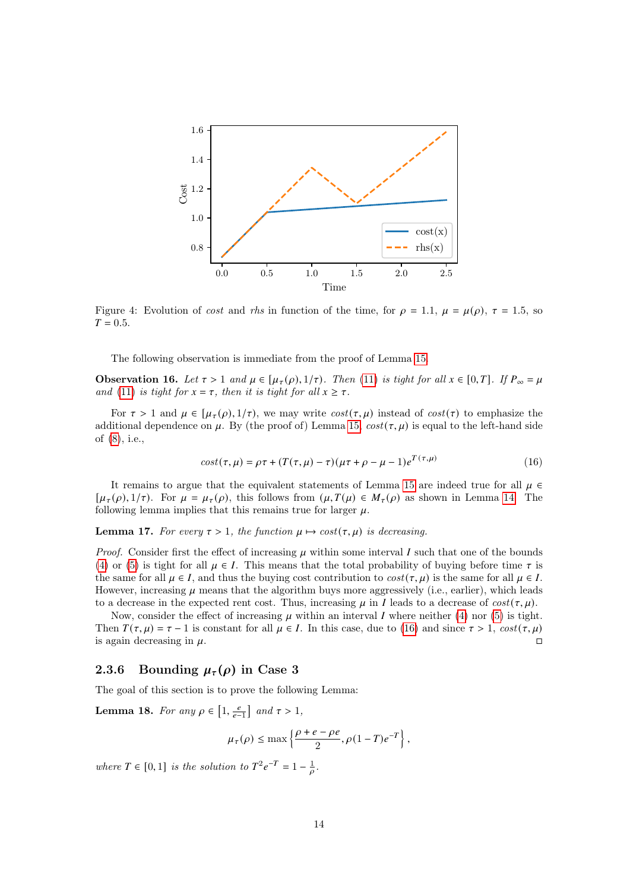<span id="page-13-1"></span>

Figure 4: Evolution of cost and rhs in function of the time, for  $\rho = 1.1$ ,  $\mu = \mu(\rho)$ ,  $\tau = 1.5$ , so  $T = 0.5.$ 

The following observation is immediate from the proof of Lemma [15.](#page-12-3)

<span id="page-13-5"></span>**Observation 16.** Let  $\tau > 1$  and  $\mu \in [\mu_{\tau}(\rho), 1/\tau)$ . Then [\(11\)](#page-9-1) is tight for all  $x \in [0, T]$ . If  $P_{\infty} = \mu$ and [\(11\)](#page-9-1) is tight for  $x = \tau$ , then it is tight for all  $x \geq \tau$ .

For  $\tau > 1$  and  $\mu \in [\mu_{\tau}(\rho), 1/\tau)$ , we may write  $cost(\tau, \mu)$  instead of  $cost(\tau)$  to emphasize the additional dependence on  $\mu$ . By (the proof of) Lemma [15,](#page-12-3)  $cost(\tau, \mu)$  is equal to the left-hand side of [\(8\)](#page-8-3), i.e.,

<span id="page-13-2"></span>
$$
cost(\tau, \mu) = \rho \tau + (T(\tau, \mu) - \tau)(\mu \tau + \rho - \mu - 1)e^{T(\tau, \mu)}
$$
\n(16)

It remains to argue that the equivalent statements of Lemma [15](#page-12-3) are indeed true for all  $\mu \in$  $[\mu_{\tau}(\rho), 1/\tau]$ . For  $\mu = \mu_{\tau}(\rho)$ , this follows from  $(\mu, T(\mu) \in M_{\tau}(\rho))$  as shown in Lemma [14.](#page-12-1) The following lemma implies that this remains true for larger  $\mu$ .

<span id="page-13-3"></span>**Lemma 17.** For every  $\tau > 1$ , the function  $\mu \mapsto cost(\tau, \mu)$  is decreasing.

*Proof.* Consider first the effect of increasing  $\mu$  within some interval I such that one of the bounds [\(4\)](#page-6-1) or [\(5\)](#page-6-2) is tight for all  $\mu \in I$ . This means that the total probability of buying before time  $\tau$  is the same for all  $\mu \in I$ , and thus the buying cost contribution to  $cost(\tau, \mu)$  is the same for all  $\mu \in I$ . However, increasing  $\mu$  means that the algorithm buys more aggressively (i.e., earlier), which leads to a decrease in the expected rent cost. Thus, increasing  $\mu$  in *I* leads to a decrease of  $cost(\tau, \mu)$ .

Now, consider the effect of increasing  $\mu$  within an interval I where neither [\(4\)](#page-6-1) nor [\(5\)](#page-6-2) is tight. Then  $T(\tau, \mu) = \tau - 1$  is constant for all  $\mu \in I$ . In this case, due to [\(16\)](#page-13-2) and since  $\tau > 1$ ,  $cost(\tau, \mu)$ is again decreasing in  $\mu$ .

## <span id="page-13-0"></span>2.3.6 Bounding  $\mu_{\tau}(\rho)$  in Case 3

The goal of this section is to prove the following Lemma:

<span id="page-13-4"></span>**Lemma 18.** For any  $\rho \in \left[1, \frac{e}{e-1}\right]$  and  $\tau > 1$ ,

$$
\mu_\tau(\rho) \leq \max\left\{\frac{\rho+e-\rho e}{2}, \rho(1-T)e^{-T}\right\},
$$

where  $T \in [0, 1]$  is the solution to  $T^2 e^{-T} = 1 - \frac{1}{\rho}$ .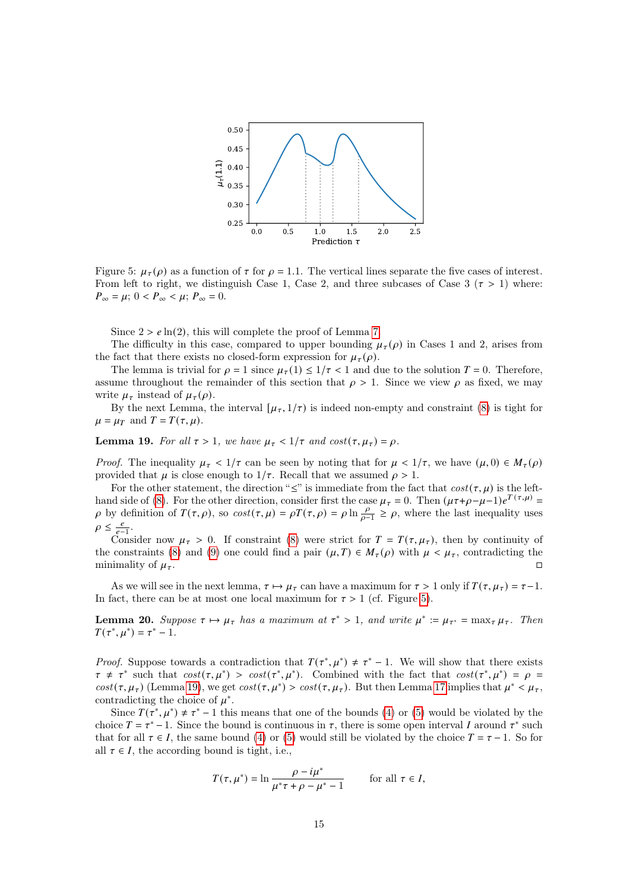<span id="page-14-0"></span>

Figure 5:  $\mu_{\tau}(\rho)$  as a function of  $\tau$  for  $\rho = 1.1$ . The vertical lines separate the five cases of interest. From left to right, we distinguish Case 1, Case 2, and three subcases of Case 3 ( $\tau > 1$ ) where:  $P_{\infty} = \mu$ ;  $0 < P_{\infty} < \mu$ ;  $P_{\infty} = 0$ .

Since  $2 > e \ln(2)$ , this will complete the proof of Lemma [7.](#page-8-1)

The difficulty in this case, compared to upper bounding  $\mu_{\tau}(\rho)$  in Cases 1 and 2, arises from the fact that there exists no closed-form expression for  $\mu_{\tau}(\rho)$ .

The lemma is trivial for  $\rho = 1$  since  $\mu_{\tau}(1) \leq 1/\tau < 1$  and due to the solution  $T = 0$ . Therefore, assume throughout the remainder of this section that  $\rho > 1$ . Since we view  $\rho$  as fixed, we may write  $\mu_{\tau}$  instead of  $\mu_{\tau}(\rho)$ .

By the next Lemma, the interval  $[\mu_{\tau}, 1/\tau)$  is indeed non-empty and constraint [\(8\)](#page-8-3) is tight for  $\mu = \mu_T$  and  $T = T(\tau, \mu)$ .

## <span id="page-14-1"></span>**Lemma 19.** For all  $\tau > 1$ , we have  $\mu_{\tau} < 1/\tau$  and  $cost(\tau, \mu_{\tau}) = \rho$ .

*Proof.* The inequality  $\mu_{\tau} < 1/\tau$  can be seen by noting that for  $\mu < 1/\tau$ , we have  $(\mu, 0) \in M_{\tau}(\rho)$ provided that  $\mu$  is close enough to  $1/\tau$ . Recall that we assumed  $\rho > 1$ .

For the other statement, the direction " $\leq$ " is immediate from the fact that  $cost(\tau, \mu)$  is the left-hand side of [\(8\)](#page-8-3). For the other direction, consider first the case  $\mu_{\tau} = 0$ . Then  $(\mu \tau + \rho - \mu - 1)e^{T(\tau,\mu)} =$  $\rho$  by definition of  $T(\tau, \rho)$ , so  $cost(\tau, \mu) = \rho T(\tau, \rho) = \rho \ln \frac{\rho}{\rho-1} \ge \rho$ , where the last inequality uses  $\rho \leq \frac{e}{e-1}$ .

Consider now  $\mu_{\tau} > 0$ . If constraint [\(8\)](#page-8-3) were strict for  $T = T(\tau, \mu_{\tau})$ , then by continuity of the constraints [\(8\)](#page-8-3) and [\(9\)](#page-8-4) one could find a pair  $(\mu, T) \in M_{\tau}(\rho)$  with  $\mu < \mu_{\tau}$ , contradicting the minimality of  $\mu_{\tau}$ .

As we will see in the next lemma,  $\tau \mapsto \mu_{\tau}$  can have a maximum for  $\tau > 1$  only if  $T(\tau, \mu_{\tau}) = \tau - 1$ . In fact, there can be at most one local maximum for  $\tau > 1$  (cf. Figure [5\)](#page-14-0).

<span id="page-14-2"></span>**Lemma 20.** Suppose  $\tau \mapsto \mu_{\tau}$  has a maximum at  $\tau^* > 1$ , and write  $\mu^* := \mu_{\tau^*} = \max_{\tau} \mu_{\tau}$ . Then  $T(\tau^*, \mu^*) = \tau^* - 1.$ 

*Proof.* Suppose towards a contradiction that  $T(\tau^*, \mu^*) \neq \tau^* - 1$ . We will show that there exists  $\tau \neq \tau^*$  such that  $cost(\tau, \mu^*)$  >  $cost(\tau^*, \mu^*)$ . Combined with the fact that  $cost(\tau^*, \mu^*) = \rho$ cost( $\tau, \mu_{\tau}$ ) (Lemma [19\)](#page-14-1), we get  $cost(\tau, \mu^*)$  >  $cost(\tau, \mu_{\tau})$ . But then Lemma [17](#page-13-3) implies that  $\mu^* < \mu_{\tau}$ , contradicting the choice of  $\mu^*$ .

Since  $T(\tau^*, \mu^*) \neq \tau^* - 1$  this means that one of the bounds [\(4\)](#page-6-1) or [\(5\)](#page-6-2) would be violated by the choice  $T = \tau^* - 1$ . Since the bound is continuous in  $\tau$ , there is some open interval I around  $\tau^*$  such that for all  $\tau \in I$ , the same bound [\(4\)](#page-6-1) or [\(5\)](#page-6-2) would still be violated by the choice  $T = \tau - 1$ . So for all  $\tau \in I$ , the according bound is tight, i.e.,

$$
T(\tau, \mu^*) = \ln \frac{\rho - i\mu^*}{\mu^* \tau + \rho - \mu^* - 1} \qquad \text{for all } \tau \in I,
$$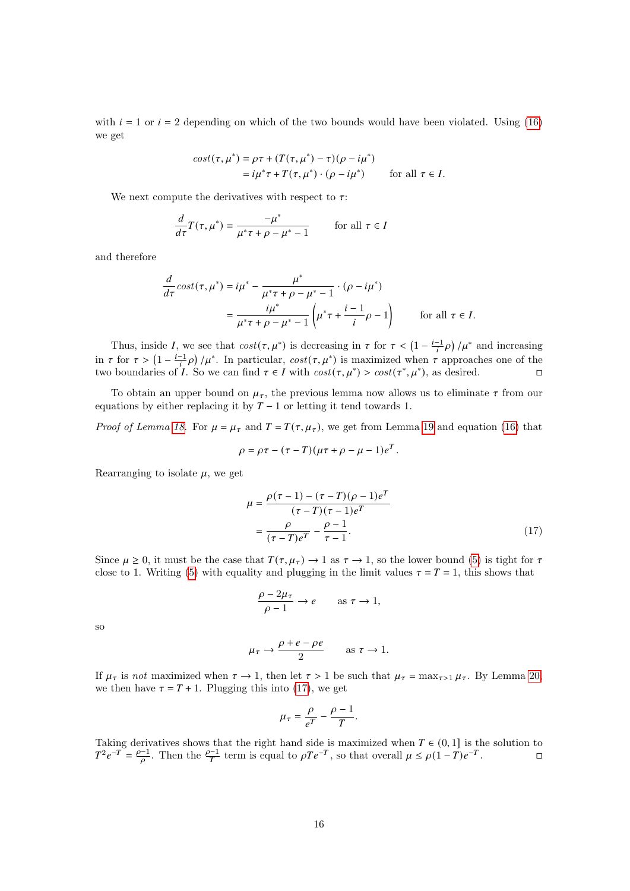with  $i = 1$  or  $i = 2$  depending on which of the two bounds would have been violated. Using [\(16\)](#page-13-2) we get

$$
cost(\tau, \mu^*) = \rho \tau + (T(\tau, \mu^*) - \tau)(\rho - i\mu^*)
$$
  
=  $i\mu^* \tau + T(\tau, \mu^*) \cdot (\rho - i\mu^*)$  for all  $\tau \in I$ .

We next compute the derivatives with respect to  $\tau$ :

$$
\frac{d}{d\tau}T(\tau,\mu^*) = \frac{-\mu^*}{\mu^*\tau + \rho - \mu^* - 1} \qquad \text{for all } \tau \in I
$$

and therefore

$$
\frac{d}{d\tau}\cos t(\tau,\mu^*) = i\mu^* - \frac{\mu^*}{\mu^*\tau + \rho - \mu^* - 1} \cdot (\rho - i\mu^*)
$$
\n
$$
= \frac{i\mu^*}{\mu^*\tau + \rho - \mu^* - 1} \left(\mu^*\tau + \frac{i - 1}{i}\rho - 1\right) \qquad \text{for all } \tau \in I.
$$

Thus, inside I, we see that  $cost(\tau, \mu^*)$  is decreasing in  $\tau$  for  $\tau < (1 - \frac{i-1}{i}\rho) / \mu^*$  and increasing in  $\tau$  for  $\tau > (1 - \frac{i-1}{i} \rho) / \mu^*$ . In particular,  $cost(\tau, \mu^*)$  is maximized when  $\tau$  approaches one of the two boundaries of *I*. So we can find  $\tau \in I$  with  $cost(\tau, \mu^*) > cost(\tau^*, \mu^*)$ , as desired.

To obtain an upper bound on  $\mu_{\tau}$ , the previous lemma now allows us to eliminate  $\tau$  from our equations by either replacing it by  $T - 1$  or letting it tend towards 1.

*Proof of Lemma [18.](#page-13-4)* For  $\mu = \mu_{\tau}$  and  $T = T(\tau, \mu_{\tau})$ , we get from Lemma [19](#page-14-1) and equation [\(16\)](#page-13-2) that

$$
\rho = \rho \tau - (\tau - T)(\mu \tau + \rho - \mu - 1)e^{T}.
$$

Rearranging to isolate  $\mu$ , we get

$$
\mu = \frac{\rho(\tau - 1) - (\tau - T)(\rho - 1)e^{T}}{(\tau - T)(\tau - 1)e^{T}}
$$

$$
= \frac{\rho}{(\tau - T)e^{T}} - \frac{\rho - 1}{\tau - 1}.
$$
(17)

Since  $\mu \ge 0$ , it must be the case that  $T(\tau, \mu_{\tau}) \to 1$  as  $\tau \to 1$ , so the lower bound [\(5\)](#page-6-2) is tight for  $\tau$ close to 1. Writing [\(5\)](#page-6-2) with equality and plugging in the limit values  $\tau = T = 1$ , this shows that

<span id="page-15-1"></span>
$$
\frac{\rho - 2\mu_{\tau}}{\rho - 1} \to e \qquad \text{as } \tau \to 1,
$$

so

$$
\mu_{\tau} \to \frac{\rho + e - \rho e}{2} \qquad \text{as } \tau \to 1.
$$

If  $\mu_{\tau}$  is not maximized when  $\tau \to 1$ , then let  $\tau > 1$  be such that  $\mu_{\tau} = \max_{\tau > 1} \mu_{\tau}$ . By Lemma [20,](#page-14-2) we then have  $\tau = T + 1$ . Plugging this into [\(17\)](#page-15-1), we get

$$
\mu_{\tau} = \frac{\rho}{e^{T}} - \frac{\rho - 1}{T}.
$$

<span id="page-15-0"></span>Taking derivatives shows that the right hand side is maximized when  $T \in (0, 1]$  is the solution to  $T^2 e^{-T} = \frac{\rho - 1}{\rho}$ . Then the  $\frac{\rho - 1}{T}$  term is equal to  $\rho T e^{-T}$ , so that overall  $\mu \le \rho (1 - T) e^{-T}$ .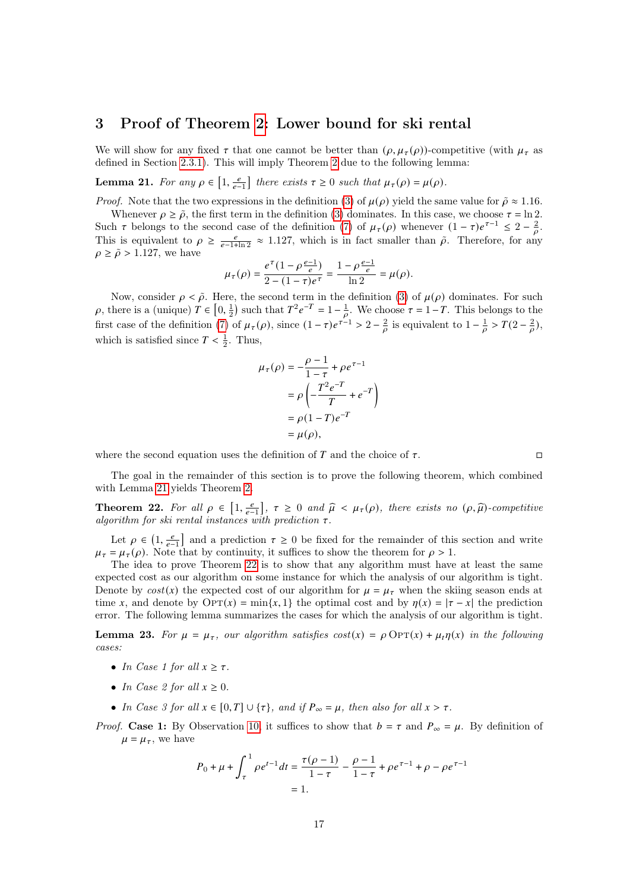## 3 Proof of Theorem [2:](#page-2-2) Lower bound for ski rental

We will show for any fixed  $\tau$  that one cannot be better than  $(\rho, \mu_{\tau}(\rho))$ -competitive (with  $\mu_{\tau}$  as defined in Section [2.3.1\)](#page-8-5). This will imply Theorem [2](#page-2-2) due to the following lemma:

<span id="page-16-0"></span>**Lemma 21.** For any  $\rho \in \left[1, \frac{e}{e-1}\right]$  there exists  $\tau \geq 0$  such that  $\mu_{\tau}(\rho) = \mu(\rho)$ .

*Proof.* Note that the two expressions in the definition [\(3\)](#page-2-0) of  $\mu(\rho)$  yield the same value for  $\tilde{\rho} \approx 1.16$ .

Whenever  $\rho \geq \tilde{\rho}$ , the first term in the definition [\(3\)](#page-2-0) dominates. In this case, we choose  $\tau = \ln 2$ . Such  $\tau$  belongs to the second case of the definition [\(7\)](#page-8-2) of  $\mu_{\tau}(\rho)$  whenever  $(1 - \tau)e^{\tau-1} \leq 2 - \frac{2}{\rho}$ . This is equivalent to  $\rho \geq \frac{e}{e^{-1} \ln 2} \approx 1.127$ , which is in fact smaller than  $\tilde{\rho}$ . Therefore, for any  $\rho \geq \tilde{\rho} > 1.127$ , we have

$$
\mu_{\tau}(\rho) = \frac{e^{\tau}(1 - \rho \frac{e-1}{e})}{2 - (1 - \tau)e^{\tau}} = \frac{1 - \rho \frac{e-1}{e}}{\ln 2} = \mu(\rho).
$$

Now, consider  $\rho < \tilde{\rho}$ . Here, the second term in the definition [\(3\)](#page-2-0) of  $\mu(\rho)$  dominates. For such  $\rho$ , there is a (unique)  $T \in [0, \frac{1}{2})$  such that  $T^2 e^{-T} = 1 - \frac{1}{\rho}$ . We choose  $\tau = 1 - T$ . This belongs to the first case of the definition [\(7\)](#page-8-2) of  $\mu_{\tau}(\rho)$ , since  $(1 - \tau)e^{\tau - 1} > 2 - \frac{2}{\rho}$  is equivalent to  $1 - \frac{1}{\rho} > T(2 - \frac{2}{\rho})$ . which is satisfied since  $T < \frac{1}{2}$ . Thus,

$$
\mu_{\tau}(\rho) = -\frac{\rho - 1}{1 - \tau} + \rho e^{\tau - 1}
$$

$$
= \rho \left( -\frac{T^2 e^{-T}}{T} + e^{-T} \right)
$$

$$
= \rho (1 - T) e^{-T}
$$

$$
= \mu(\rho),
$$

where the second equation uses the definition of  $T$  and the choice of  $\tau$ .

The goal in the remainder of this section is to prove the following theorem, which combined with Lemma [21](#page-16-0) yields Theorem [2.](#page-2-2)

<span id="page-16-1"></span>**Theorem 22.** For all  $\rho \in [1, \frac{e}{e-1}]$ ,  $\tau \ge 0$  and  $\hat{\mu} < \mu_{\tau}(\rho)$ , there exists no  $(\rho, \hat{\mu})$ -competitive algorithm for also readed instances with production  $\tau$ algorithm for ski rental instances with prediction  $\tau$ .

Let  $\rho \in (1, \frac{e}{e-1}]$  and a prediction  $\tau \geq 0$  be fixed for the remainder of this section and write  $\mu_{\tau} = \mu_{\tau}(\rho)$ . Note that by continuity, it suffices to show the theorem for  $\rho > 1$ .

The idea to prove Theorem [22](#page-16-1) is to show that any algorithm must have at least the same expected cost as our algorithm on some instance for which the analysis of our algorithm is tight. Denote by  $cost(x)$  the expected cost of our algorithm for  $\mu = \mu_{\tau}$  when the skiing season ends at time x, and denote by  $\text{OPT}(x) = \min\{x, 1\}$  the optimal cost and by  $\eta(x) = |\tau - x|$  the prediction error. The following lemma summarizes the cases for which the analysis of our algorithm is tight.

<span id="page-16-2"></span>**Lemma 23.** For  $\mu = \mu_{\tau}$ , our algorithm satisfies  $cost(x) = \rho \text{OPT}(x) + \mu_{\tau} \eta(x)$  in the following cases:

- In Case 1 for all  $x \geq \tau$ .
- In Case 2 for all  $x \geq 0$ .
- In Case 3 for all  $x \in [0, T] \cup \{\tau\}$ , and if  $P_\infty = \mu$ , then also for all  $x > \tau$ .

*Proof.* Case 1: By Observation [10,](#page-11-0) it suffices to show that  $b = \tau$  and  $P_{\infty} = \mu$ . By definition of  $\mu = \mu_{\tau}$ , we have

$$
P_0 + \mu + \int_{\tau}^{1} \rho e^{t-1} dt = \frac{\tau(\rho - 1)}{1 - \tau} - \frac{\rho - 1}{1 - \tau} + \rho e^{\tau - 1} + \rho - \rho e^{\tau - 1}
$$

$$
= 1.
$$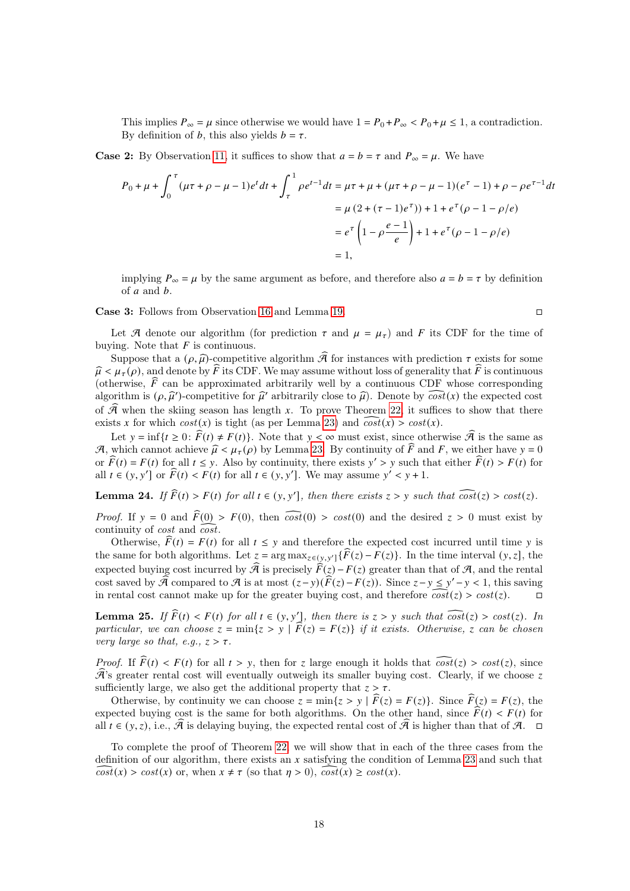This implies  $P_{\infty} = \mu$  since otherwise we would have  $1 = P_0 + P_{\infty} < P_0 + \mu \le 1$ , a contradiction. By definition of *b*, this also yields  $b = \tau$ .

**Case 2:** By Observation [11,](#page-11-1) it suffices to show that  $a = b = \tau$  and  $P_{\infty} = \mu$ . We have

$$
P_0 + \mu + \int_0^{\tau} (\mu \tau + \rho - \mu - 1)e^t dt + \int_{\tau}^1 \rho e^{t-1} dt = \mu \tau + \mu + (\mu \tau + \rho - \mu - 1)(e^{\tau} - 1) + \rho - \rho e^{\tau - 1} dt
$$
  

$$
= \mu (2 + (\tau - 1)e^{\tau})) + 1 + e^{\tau} (\rho - 1 - \rho/e)
$$
  

$$
= e^{\tau} \left(1 - \rho \frac{e - 1}{e}\right) + 1 + e^{\tau} (\rho - 1 - \rho/e)
$$
  

$$
= 1,
$$

implying  $P_{\infty} = \mu$  by the same argument as before, and therefore also  $a = b = \tau$  by definition of  $a$  and  $b$ .

Case 3: Follows from Observation [16](#page-13-5) and Lemma [19.](#page-14-1)

$$
\qquad \qquad \Box
$$

Let A denote our algorithm (for prediction  $\tau$  and  $\mu = \mu_{\tau}$ ) and F its CDF for the time of buying. Note that  $F$  is continuous.

Suppose that a  $(\rho, \hat{\mu})$ -competitive algorithm  $\hat{\mathcal{A}}$  for instances with prediction  $\tau$  exists for some  $\hat{\mu} < \mu_{\tau}(\rho)$ , and denote by F its CDF. We may assume without loss of generality that  $\hat{F}$  is continuous (otherwise,  $\tilde{F}$  can be approximated arbitrarily well by a continuous CDF whose corresponding algorithm is  $(\rho, \hat{\mu}')$ -competitive for  $\hat{\mu}'$  arbitrarily close to  $\hat{\mu}$ ). Denote by  $\widehat{cost}(x)$  the expected cost of  $\widehat{\mathcal{A}}$  when the skiing season has length x. To prove Theorem [22,](#page-16-1) it suffices to show that there exists x for which  $cost(x)$  is tight (as per Lemma [23\)](#page-16-2) and  $\widehat{cost}(x) > cost(x)$ .

Let  $y = \inf\{t \geq 0: \widehat{F}(t) \neq F(t)\}\)$ . Note that  $y < \infty$  must exist, since otherwise  $\widehat{\mathcal{A}}$  is the same as A, which cannot achieve  $\hat{\mu} < \mu_{\tau}(\rho)$  by Lemma [23.](#page-16-2) By continuity of  $\hat{F}$  and F, we either have  $y = 0$ or  $\widehat{F}(t) = F(t)$  for all  $t \le y$ . Also by continuity, there exists  $y' > y$  such that either  $\widehat{F}(t) > F(t)$  for all  $t \in (y, y']$  or  $\widehat{F}(t) < F(t)$  for all  $t \in (y, y']$ . We may assume  $y' < y + 1$ .

<span id="page-17-0"></span>**Lemma 24.** If  $\widehat{F}(t) > F(t)$  for all  $t \in (y, y']$ , then there exists  $z > y$  such that  $\widehat{cost}(z) > cost(z)$ .

*Proof.* If  $y = 0$  and  $\widehat{F}(0) > F(0)$ , then  $\widehat{cost}(0) > cost(0)$  and the desired  $z > 0$  must exist by continuity of *cost* and  $\widehat{cost}$ .

Otherwise,  $\widehat{F}(t) = F(t)$  for all  $t \leq y$  and therefore the expected cost incurred until time y is the same for both algorithms. Let  $z = \arg \max_{z \in (y, y']} {\{\widehat{F}(z) - \overline{F}(z)\}}$ . In the time interval  $(y, z]$ , the expected buying cost incurred by  $\hat{\mathcal{A}}$  is precisely  $\hat{F}(z) - F(z)$  greater than that of  $\mathcal{A}$ , and the rental cost saved by  $\widehat{\mathcal{A}}$  compared to  $\mathcal{A}$  is at most  $(z-y)(\widehat{F}(z) - F(z))$ . Since  $z - y \leq y' - y < 1$ , this saving in rental cost cannot make up for the greater buying cost, and therefore  $\widehat{cost}(z) > cost(z)$ .

<span id="page-17-1"></span>**Lemma 25.** If  $\widehat{F}(t) < F(t)$  for all  $t \in (y, y']$ , then there is  $z > y$  such that  $\widehat{cost}(z) > cost(z)$ . In particular, we can choose  $z = \min\{z > y \mid F(z) = F(z)\}\$ if it exists. Otherwise, z can be chosen very large so that, e.g.,  $z > \tau$ .

*Proof.* If  $\widehat{F}(t) \leq F(t)$  for all  $t > v$ , then for z large enough it holds that  $\widehat{cost}(z) > cost(z)$ , since  $\mathcal{\hat{A}}$ 's greater rental cost will eventually outweigh its smaller buying cost. Clearly, if we choose z sufficiently large, we also get the additional property that  $z > \tau$ .

Otherwise, by continuity we can choose  $z = \min\{z > y | \widehat{F}(z) = F(z)\}\)$ . Since  $\widehat{F}(z) = F(z)$ , the expected buying cost is the same for both algorithms. On the other hand, since  $\widehat{F}(t) < F(t)$  for all  $t \in (y, z)$ , i.e.,  $\widehat{\mathcal{A}}$  is delaying buying, the expected rental cost of  $\widehat{\mathcal{A}}$  is higher than that of  $\mathcal{A}$ .

To complete the proof of Theorem [22,](#page-16-1) we will show that in each of the three cases from the definition of our algorithm, there exists an  $x$  satisfying the condition of Lemma [23](#page-16-2) and such that  $\widehat{cost}(x) > cost(x)$  or, when  $x \neq \tau$  (so that  $\eta > 0$ ),  $\widehat{cost}(x) \geq cost(x)$ .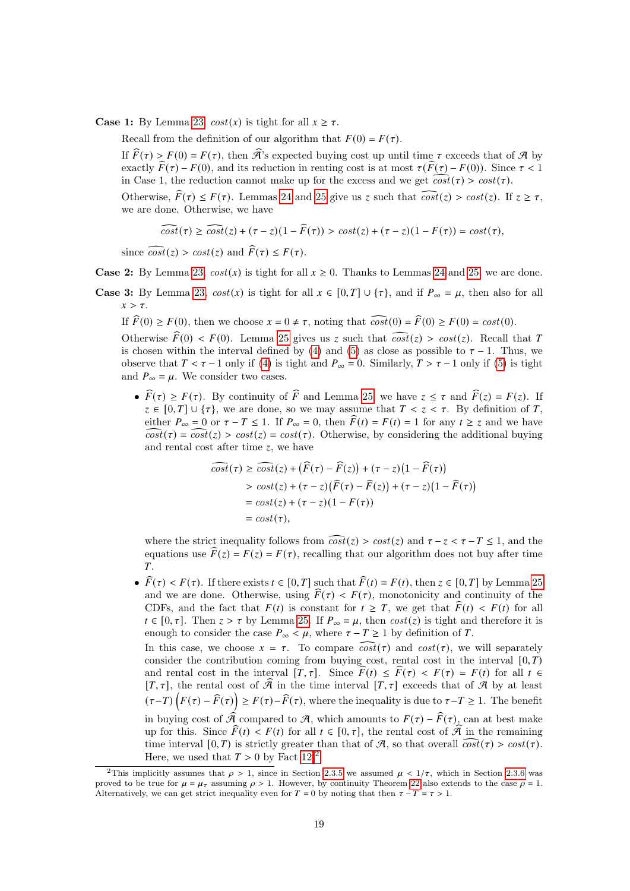**Case 1:** By Lemma [23,](#page-16-2)  $cost(x)$  is tight for all  $x \ge \tau$ .

Recall from the definition of our algorithm that  $F(0) = F(\tau)$ .

If  $\widehat{F}(\tau) > F(0) = F(\tau)$ , then  $\widehat{\mathcal{A}}$ 's expected buying cost up until time  $\tau$  exceeds that of  $\mathcal A$  by exactly  $\widehat{F}(\tau) - F(0)$ , and its reduction in renting cost is at most  $\tau(\widehat{F}(\tau) - F(0))$ . Since  $\tau < 1$ in Case 1, the reduction cannot make up for the excess and we get  $\widehat{cost}(\tau) > cost(\tau)$ .

Otherwise,  $\widehat{F}(\tau) \leq F(\tau)$ . Lemmas [24](#page-17-0) and [25](#page-17-1) give us z such that  $\widehat{cost}(z) > cost(z)$ . If  $z \geq \tau$ , we are done. Otherwise, we have

$$
\widehat{cost}(\tau) \ge \widehat{cost}(z) + (\tau - z)(1 - \widehat{F}(\tau)) > \cos t(z) + (\tau - z)(1 - F(\tau)) = \cos t(\tau),
$$

since  $\widehat{cost}(z) > cost(z)$  and  $\widehat{F}(\tau) \leq F(\tau)$ .

**Case 2:** By Lemma [23,](#page-16-2)  $cost(x)$  is tight for all  $x \ge 0$ . Thanks to Lemmas [24](#page-17-0) and [25,](#page-17-1) we are done.

**Case 3:** By Lemma [23,](#page-16-2)  $cost(x)$  is tight for all  $x \in [0, T] \cup \{\tau\}$ , and if  $P_\infty = \mu$ , then also for all  $x > \tau$ .

If  $\widehat{F}(0) \ge F(0)$ , then we choose  $x = 0 \ne \tau$ , noting that  $\widehat{cost}(0) = \widehat{F}(0) \ge F(0) = cost(0)$ .

Otherwise  $\widehat{F}(0) < F(0)$ . Lemma [25](#page-17-1) gives us z such that  $\widehat{cost}(z) > cost(z)$ . Recall that T is chosen within the interval defined by [\(4\)](#page-6-1) and [\(5\)](#page-6-2) as close as possible to  $\tau - 1$ . Thus, we observe that  $T < \tau - 1$  only if [\(4\)](#page-6-1) is tight and  $P_{\infty} = 0$ . Similarly,  $T > \tau - 1$  only if [\(5\)](#page-6-2) is tight and  $P_{\infty} = \mu$ . We consider two cases.

•  $\widehat{F}(\tau) \geq F(\tau)$ . By continuity of  $\widehat{F}$  and Lemma [25,](#page-17-1) we have  $z \leq \tau$  and  $\widehat{F}(z) = F(z)$ . If  $z \in [0, T] \cup \{\tau\}$ , we are done, so we may assume that  $T < z < \tau$ . By definition of T, either  $P_{\infty} = 0$  or  $\tau - T \le 1$ . If  $P_{\infty} = 0$ , then  $\widehat{F}(t) = F(t) = 1$  for any  $t \ge z$  and we have  $\widehat{cost}(\tau) = \widehat{cost}(z) > cost(z) = cost(\tau)$ . Otherwise, by considering the additional buying and rental cost after time  $z$ , we have

$$
\overline{cost}(\tau) \ge \overline{cost}(z) + (\widehat{F}(\tau) - \widehat{F}(z)) + (\tau - z)(1 - \widehat{F}(\tau))
$$
  
> 
$$
\cos t(z) + (\tau - z)(\widehat{F}(\tau) - \widehat{F}(z)) + (\tau - z)(1 - \widehat{F}(\tau))
$$
  
= 
$$
\cos t(z) + (\tau - z)(1 - F(\tau))
$$
  
= 
$$
\cos t(\tau),
$$

where the strict inequality follows from  $\widehat{cost}(z) > cost(z)$  and  $\tau - z < \tau - T < 1$ , and the equations use  $\widehat{F}(z) = F(z) = F(\tau)$ , recalling that our algorithm does not buy after time  $T_{\rm L}$ 

•  $\widehat{F}(\tau) < F(\tau)$ . If there exists  $t \in [0, T]$  such that  $\widehat{F}(t) = F(t)$ , then  $z \in [0, T]$  by Lemma [25](#page-17-1) and we are done. Otherwise, using  $\widehat{F}(\tau) < F(\tau)$ , monotonicity and continuity of the CDFs, and the fact that  $F(t)$  is constant for  $t \geq T$ , we get that  $\widehat{F}(t) < F(t)$  for all  $t \in [0, \tau]$ . Then  $z > \tau$  by Lemma [25.](#page-17-1) If  $P_{\infty} = \mu$ , then  $cost(z)$  is tight and therefore it is enough to consider the case  $P_{\infty} < \mu$ , where  $\tau - T \ge 1$  by definition of T. In this case, we choose  $x = \tau$ . To compare  $\widehat{cost}(\tau)$  and  $cost(\tau)$ , we will separately consider the contribution coming from buying cost, rental cost in the interval  $[0, T)$ and rental cost in the interval  $[T, \tau]$ . Since  $\widehat{F}(t) \leq \widehat{F}(\tau) < F(\tau) = F(t)$  for all  $t \in$  $[T, \tau]$ , the rental cost of  $\widehat{\mathcal{A}}$  in the time interval  $[T, \tau]$  exceeds that of  $\mathcal A$  by at least  $(\tau-T)\left(F(\tau)-\widehat{F}(\tau)\right) \geq F(\tau)-\widehat{F}(\tau)$ , where the inequality is due to  $\tau-T \geq 1$ . The benefit in buying cost of  $\widehat{\mathcal{A}}$  compared to  $\mathcal{A}$ , which amounts to  $F(\tau) - \widehat{F}(\tau)$ , can at best make up for this. Since  $\widehat{F}(t) < F(t)$  for all  $t \in [0, \tau]$ , the rental cost of  $\widehat{\mathcal{A}}$  in the remaining time interval  $[0, T)$  is strictly greater than that of A, so that overall  $\overline{cost}(\tau) > cost(\tau)$ . Here, we used that  $T > 0$  by Fact [12.](#page-11-2)<sup>[2](#page-18-1)</sup>

<span id="page-18-1"></span><span id="page-18-0"></span><sup>&</sup>lt;sup>2</sup>This implicitly assumes that  $\rho > 1$ , since in Section [2.3.5](#page-11-3) we assumed  $\mu < 1/\tau$ , which in Section [2.3.6](#page-13-0) was proved to be true for  $\mu = \mu_{\tau}$  assuming  $\rho > 1$ . However, by continuity Theorem [22](#page-16-1) also extends to the case  $\rho = 1$ . Alternatively, we can get strict inequality even for  $T = 0$  by noting that then  $\tau - T = \tau > 1$ .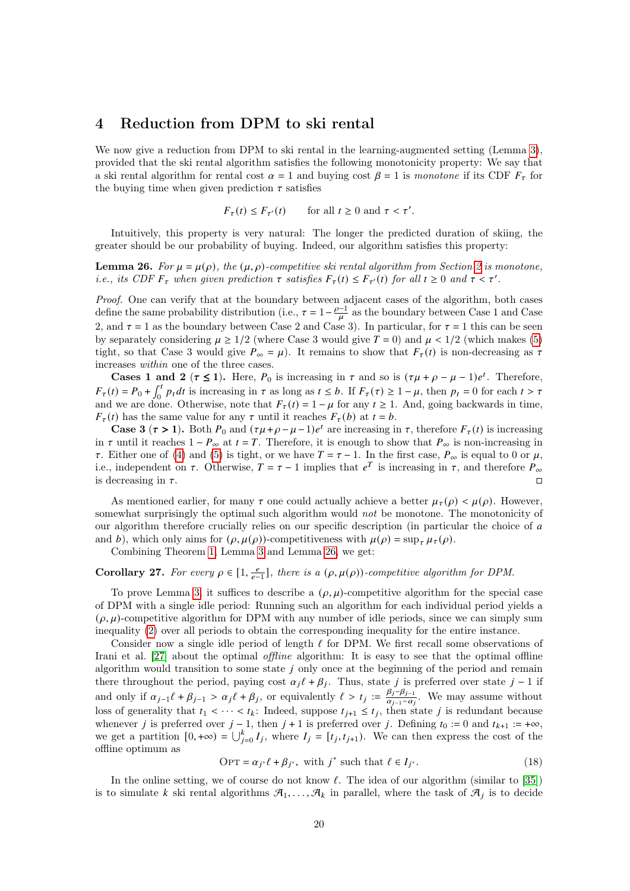## 4 Reduction from DPM to ski rental

We now give a reduction from DPM to ski rental in the learning-augmented setting (Lemma [3\)](#page-3-3), provided that the ski rental algorithm satisfies the following monotonicity property: We say that a ski rental algorithm for rental cost  $\alpha = 1$  and buying cost  $\beta = 1$  is monotone if its CDF  $F_{\tau}$  for the buying time when given prediction  $\tau$  satisfies

$$
F_{\tau}(t) \le F_{\tau'}(t) \qquad \text{for all } t \ge 0 \text{ and } \tau < \tau'.
$$

Intuitively, this property is very natural: The longer the predicted duration of skiing, the greater should be our probability of buying. Indeed, our algorithm satisfies this property:

<span id="page-19-0"></span>**Lemma [2](#page-5-0)6.** For  $\mu = \mu(\rho)$ , the  $(\mu, \rho)$ -competitive ski rental algorithm from Section 2 is monotone, *i.e.*, its CDF  $F_{\tau}$  when given prediction  $\tau$  satisfies  $F_{\tau}(t) \leq F_{\tau'}(t)$  for all  $t \geq 0$  and  $\tau < \tau'$ .

Proof. One can verify that at the boundary between adjacent cases of the algorithm, both cases define the same probability distribution (i.e.,  $\tau = 1 - \frac{\rho - 1}{\mu}$  as the boundary between Case 1 and Case 2, and  $\tau = 1$  as the boundary between Case 2 and Case 3). In particular, for  $\tau = 1$  this can be seen by separately considering  $\mu \geq 1/2$  (where Case 3 would give  $T = 0$ ) and  $\mu < 1/2$  (which makes [\(5\)](#page-6-2) tight, so that Case 3 would give  $P_{\infty} = \mu$ ). It remains to show that  $F_{\tau}(t)$  is non-decreasing as  $\tau$ increases within one of the three cases.

**Cases 1 and 2** ( $\tau \le 1$ ). Here,  $P_0$  is increasing in  $\tau$  and so is  $(\tau \mu + \rho - \mu - 1)e^t$ . Therefore,  $F_{\tau}(t) = P_0 + \int_0^t p_t dt$  is increasing in  $\tau$  as long as  $t \leq b$ . If  $F_{\tau}(\tau) \geq 1 - \mu$ , then  $p_t = 0$  for each  $t > \tau$ and we are done. Otherwise, note that  $F_{\tau}(t) = 1 - \mu$  for any  $t \ge 1$ . And, going backwards in time,  $F_{\tau}(t)$  has the same value for any  $\tau$  until it reaches  $F_{\tau}(b)$  at  $t = b$ .

**Case 3** ( $\tau > 1$ ). Both  $P_0$  and  $(\tau \mu + \rho - \mu - 1)e^t$  are increasing in  $\tau$ , therefore  $F_\tau(t)$  is increasing in  $\tau$  until it reaches  $1 - P_{\infty}$  at  $t = T$ . Therefore, it is enough to show that  $P_{\infty}$  is non-increasing in  $\tau$ . Either one of [\(4\)](#page-6-1) and [\(5\)](#page-6-2) is tight, or we have  $T = \tau - 1$ . In the first case,  $P_{\infty}$  is equal to 0 or  $\mu$ , i.e., independent on  $\tau$ . Otherwise,  $T = \tau - 1$  implies that  $e^T$  is increasing in  $\tau$ , and therefore  $P_{\infty}$ is decreasing in  $\tau$ .

As mentioned earlier, for many  $\tau$  one could actually achieve a better  $\mu_{\tau}(\rho) < \mu(\rho)$ . However, somewhat surprisingly the optimal such algorithm would *not* be monotone. The monotonicity of our algorithm therefore crucially relies on our specific description (in particular the choice of a and b), which only aims for  $(\rho, \mu(\rho))$ -competitiveness with  $\mu(\rho) = \sup_{\tau} \mu_{\tau}(\rho)$ .

Combining Theorem [1,](#page-2-1) Lemma [3](#page-3-3) and Lemma [26,](#page-19-0) we get:

## <span id="page-19-1"></span>Corollary 27. For every  $\rho \in [1, \frac{e}{e-1}]$ , there is a  $(\rho, \mu(\rho))$ -competitive algorithm for DPM.

To prove Lemma [3,](#page-3-3) it suffices to describe a  $(\rho, \mu)$ -competitive algorithm for the special case of DPM with a single idle period: Running such an algorithm for each individual period yields a  $(\rho, \mu)$ -competitive algorithm for DPM with any number of idle periods, since we can simply sum inequality [\(2\)](#page-2-4) over all periods to obtain the corresponding inequality for the entire instance.

Consider now a single idle period of length  $\ell$  for DPM. We first recall some observations of Irani et al. [\[27\]](#page-28-5) about the optimal *offline* algorithm: It is easy to see that the optimal offline algorithm would transition to some state  $j$  only once at the beginning of the period and remain there throughout the period, paying cost  $\alpha_i \ell + \beta_j$ . Thus, state j is preferred over state  $j-1$  if and only if  $\alpha_{j-1}\ell + \beta_{j-1} > \alpha_j \ell + \beta_j$ , or equivalently  $\ell > t_j := \frac{\beta_j - \beta_{j-1}}{\alpha_{j-1} - \alpha_j}$  $\frac{\rho_j - \rho_{j-1}}{\alpha_{j-1} - \alpha_j}$ . We may assume without loss of generality that  $t_1 < \cdots < t_k$ : Indeed, suppose  $t_{j+1} \leq t_j$ , then state j is redundant because whenever *j* is preferred over  $j - 1$ , then  $j + 1$  is preferred over *j*. Defining  $t_0 := 0$  and  $t_{k+1} := +\infty$ , we get a partition  $[0, +\infty) = \bigcup_{j=0}^{k} I_j$ , where  $I_j = [t_j, t_{j+1})$ . We can then express the cost of the offline optimum as

$$
OPT = \alpha_{i^*} \ell + \beta_{i^*}, \text{ with } j^* \text{ such that } \ell \in I_{i^*}. \tag{18}
$$

In the online setting, we of course do not know  $\ell$ . The idea of our algorithm (similar to [\[35\]](#page-28-6)) is to simulate k ski rental algorithms  $\mathcal{A}_1, \ldots, \mathcal{A}_k$  in parallel, where the task of  $\mathcal{A}_j$  is to decide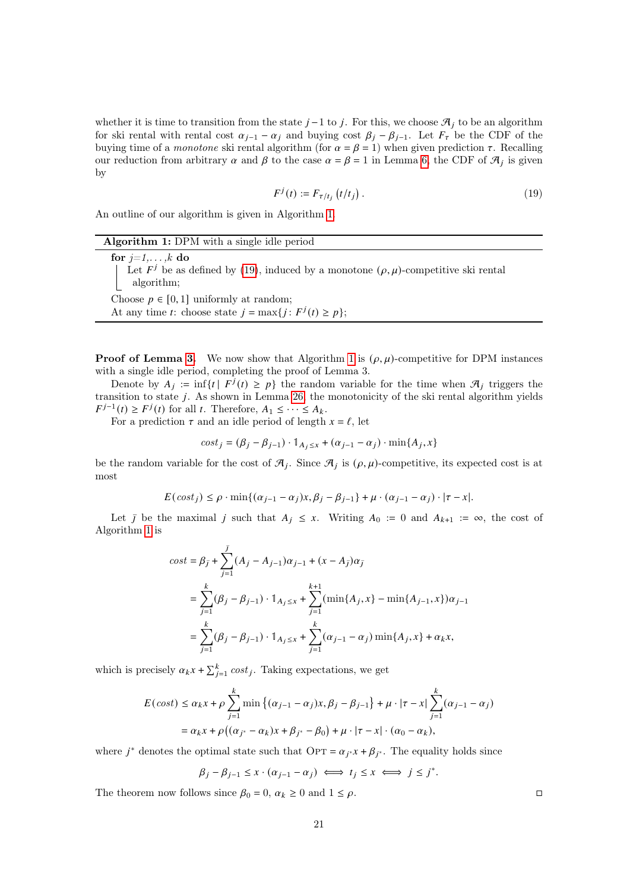whether it is time to transition from the state  $j-1$  to  $j$ . For this, we choose  $\mathcal{A}_j$  to be an algorithm for ski rental with rental cost  $\alpha_{j-1} - \alpha_j$  and buying cost  $\beta_j - \beta_{j-1}$ . Let  $F_\tau$  be the CDF of the buying time of a *monotone* ski rental algorithm (for  $\alpha = \beta = 1$ ) when given prediction  $\tau$ . Recalling our reduction from arbitrary  $\alpha$  and  $\beta$  to the case  $\alpha = \beta = 1$  in Lemma [6,](#page-5-1) the CDF of  $\mathcal{A}_i$  is given by

<span id="page-20-1"></span>
$$
F^{j}(t) := F_{\tau/t_{i}}\left(t/t_{j}\right). \tag{19}
$$

An outline of our algorithm is given in Algorithm [1.](#page-20-0)

<span id="page-20-0"></span>

| <b>Algorithm 1:</b> DPM with a single idle period                                            |
|----------------------------------------------------------------------------------------------|
| for $j=1,\ldots,k$ do                                                                        |
| Let $F^j$ be as defined by (19), induced by a monotone $(\rho, \mu)$ -competitive ski rental |
| algorithm;                                                                                   |
| Choose $p \in [0,1]$ uniformly at random;                                                    |
| At any time <i>t</i> : choose state $j = \max\{j : F^j(t) \ge p\};$                          |

**Proof of Lemma [3.](#page-3-3)** We now show that Algorithm [1](#page-20-0) is  $(\rho, \mu)$ -competitive for DPM instances with a single idle period, completing the proof of Lemma 3.

Denote by  $A_i := \inf\{t \mid F^j(t) \geq p\}$  the random variable for the time when  $\mathcal{A}_i$  triggers the transition to state  $j$ . As shown in Lemma [26,](#page-19-0) the monotonicity of the ski rental algorithm yields  $F^{j-1}(t) \geq F^j(t)$  for all t. Therefore,  $A_1 \leq \cdots \leq A_k$ .

For a prediction  $\tau$  and an idle period of length  $x = \ell$ , let

$$
cost_j = (\beta_j - \beta_{j-1}) \cdot 1_{A_j \le x} + (\alpha_{j-1} - \alpha_j) \cdot \min\{A_j, x\}
$$

be the random variable for the cost of  $\mathcal{A}_i$ . Since  $\mathcal{A}_i$  is  $(\rho, \mu)$ -competitive, its expected cost is at most

$$
E(\text{cost}_j) \le \rho \cdot \min\{(\alpha_{j-1} - \alpha_j)x, \beta_j - \beta_{j-1}\} + \mu \cdot (\alpha_{j-1} - \alpha_j) \cdot |\tau - x|.
$$

Let  $\overline{J}$  be the maximal  $\overline{J}$  such that  $A_j \leq x$ . Writing  $A_0 := 0$  and  $A_{k+1} := \infty$ , the cost of Algorithm [1](#page-20-0) is

$$
cost = \beta_{\bar{j}} + \sum_{j=1}^{\bar{j}} (A_j - A_{j-1}) \alpha_{j-1} + (x - A_{\bar{j}}) \alpha_{\bar{j}}
$$
  
= 
$$
\sum_{j=1}^{k} (\beta_j - \beta_{j-1}) \cdot 1_{A_j \le x} + \sum_{j=1}^{k+1} (\min\{A_j, x\} - \min\{A_{j-1}, x\}) \alpha_{j-1}
$$
  
= 
$$
\sum_{j=1}^{k} (\beta_j - \beta_{j-1}) \cdot 1_{A_j \le x} + \sum_{j=1}^{k} (\alpha_{j-1} - \alpha_j) \min\{A_j, x\} + \alpha_k x,
$$

which is precisely  $\alpha_k x + \sum_{j=1}^k cost_j$ . Taking expectations, we get

$$
E(\cos t) \le \alpha_k x + \rho \sum_{j=1}^k \min \left\{ (\alpha_{j-1} - \alpha_j) x, \beta_j - \beta_{j-1} \right\} + \mu \cdot |\tau - x| \sum_{j=1}^k (\alpha_{j-1} - \alpha_j)
$$
  
=  $\alpha_k x + \rho \left( (\alpha_{j^*} - \alpha_k) x + \beta_{j^*} - \beta_0 \right) + \mu \cdot |\tau - x| \cdot (\alpha_0 - \alpha_k),$ 

where  $j^*$  denotes the optimal state such that  $\text{OPT} = \alpha_{j^*} x + \beta_{j^*}$ . The equality holds since

$$
\beta_j-\beta_{j-1}\leq x\cdot(\alpha_{j-1}-\alpha_j)\iff t_j\leq x\iff j\leq j^*.
$$

<span id="page-20-2"></span>The theorem now follows since  $\beta_0 = 0$ ,  $\alpha_k \ge 0$  and  $1 \le \rho$ .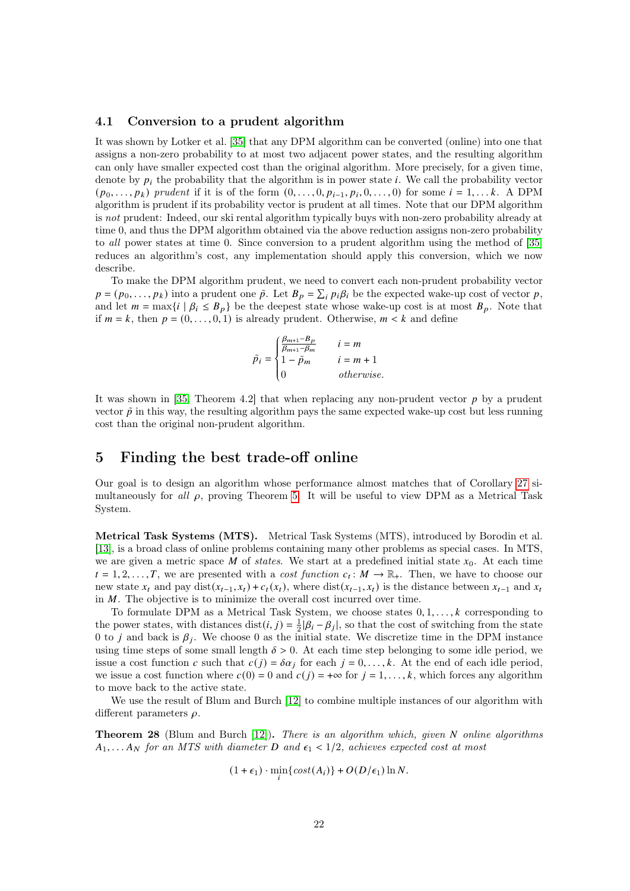#### 4.1 Conversion to a prudent algorithm

It was shown by Lotker et al. [\[35\]](#page-28-6) that any DPM algorithm can be converted (online) into one that assigns a non-zero probability to at most two adjacent power states, and the resulting algorithm can only have smaller expected cost than the original algorithm. More precisely, for a given time, denote by  $p_i$  the probability that the algorithm is in power state i. We call the probability vector  $(p_0, \ldots, p_k)$  prudent if it is of the form  $(0, \ldots, 0, p_{i-1}, p_i, 0, \ldots, 0)$  for some  $i = 1, \ldots k$ . A DPM algorithm is prudent if its probability vector is prudent at all times. Note that our DPM algorithm is not prudent: Indeed, our ski rental algorithm typically buys with non-zero probability already at time 0, and thus the DPM algorithm obtained via the above reduction assigns non-zero probability to all power states at time 0. Since conversion to a prudent algorithm using the method of [\[35\]](#page-28-6) reduces an algorithm's cost, any implementation should apply this conversion, which we now describe.

To make the DPM algorithm prudent, we need to convert each non-prudent probability vector  $p = (p_0, \ldots, p_k)$  into a prudent one  $\tilde{p}$ . Let  $B_p = \sum_i p_i \beta_i$  be the expected wake-up cost of vector p, and let  $m = \max\{i \mid \beta_i \leq B_p\}$  be the deepest state whose wake-up cost is at most  $B_p$ . Note that if  $m = k$ , then  $p = (0, \ldots, 0, 1)$  is already prudent. Otherwise,  $m \leq k$  and define

$$
\tilde{p}_i = \begin{cases} \frac{\beta_{m+1}-B_p}{\beta_{m+1}-\beta_m} \quad & i=m \\ 1-\tilde{p}_m \quad & i=m+1 \\ 0 \quad & otherwise. \end{cases}
$$

It was shown in [\[35,](#page-28-6) Theorem 4.2] that when replacing any non-prudent vector  $p$  by a prudent vector  $\tilde{p}$  in this way, the resulting algorithm pays the same expected wake-up cost but less running cost than the original non-prudent algorithm.

J.

## <span id="page-21-0"></span>5 Finding the best trade-off online

Our goal is to design an algorithm whose performance almost matches that of Corollary [27](#page-19-1) simultaneously for all  $\rho$ , proving Theorem [5.](#page-3-0) It will be useful to view DPM as a Metrical Task System.

Metrical Task Systems (MTS). Metrical Task Systems (MTS), introduced by Borodin et al. [\[13\]](#page-27-12), is a broad class of online problems containing many other problems as special cases. In MTS, we are given a metric space M of states. We start at a predefined initial state  $x_0$ . At each time  $t = 1, 2, \ldots, T$ , we are presented with a cost function  $c_t : M \to \mathbb{R}_+$ . Then, we have to choose our new state  $x_t$  and pay dist $(x_{t-1}, x_t) + c_t(x_t)$ , where dist $(x_{t-1}, x_t)$  is the distance between  $x_{t-1}$  and  $x_t$ in  $M$ . The objective is to minimize the overall cost incurred over time.

To formulate DPM as a Metrical Task System, we choose states  $0, 1, \ldots, k$  corresponding to the power states, with distances  $dist(i, j) = \frac{1}{2} |\beta_i - \beta_j|$ , so that the cost of switching from the state 0 to *j* and back is  $\beta_i$ . We choose 0 as the initial state. We discretize time in the DPM instance using time steps of some small length  $\delta > 0$ . At each time step belonging to some idle period, we issue a cost function c such that  $c(j) = \delta \alpha_j$  for each  $j = 0, \ldots, k$ . At the end of each idle period, we issue a cost function where  $c(0) = 0$  and  $c(j) = +\infty$  for  $j = 1, \ldots, k$ , which forces any algorithm to move back to the active state.

We use the result of Blum and Burch [\[12\]](#page-27-13) to combine multiple instances of our algorithm with different parameters  $\rho$ .

<span id="page-21-1"></span>**Theorem 28** (Blum and Burch  $[12]$ ). There is an algorithm which, given N online algorithms  $A_1, \ldots A_N$  for an MTS with diameter D and  $\epsilon_1 < 1/2$ , achieves expected cost at most

$$
(1+\epsilon_1)\cdot\min_i\{\cos t(A_i)\}+O(D/\epsilon_1)\ln N.
$$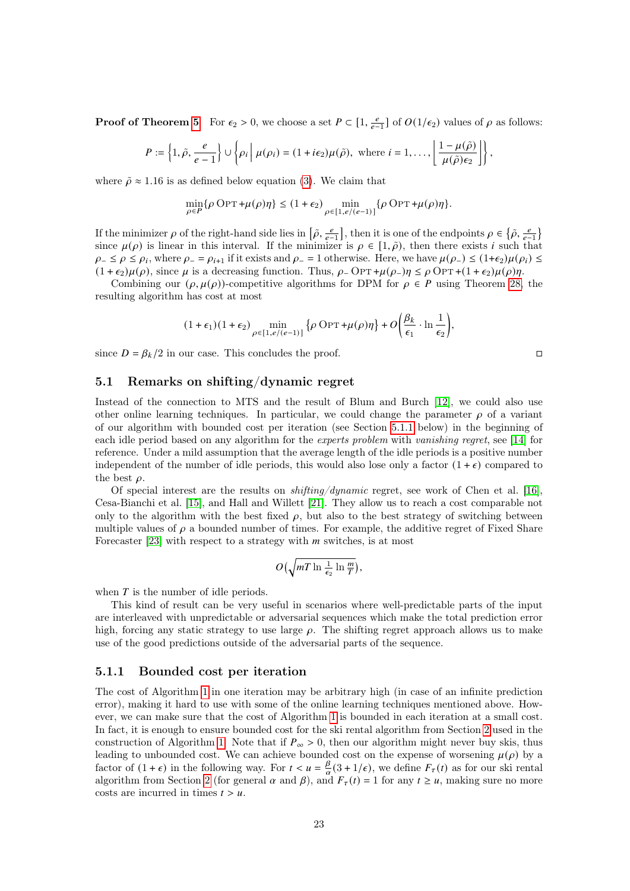**Proof of Theorem [5](#page-3-0)** For  $\epsilon_2 > 0$ , we choose a set  $P \subset [1, \frac{e}{e-1}]$  of  $O(1/\epsilon_2)$  values of  $\rho$  as follows:

$$
P:=\left\{1,\tilde\rho,\frac{e}{e-1}\right\}\cup\left\{\rho_i\,\middle|\, \mu(\rho_i)=(1+i\epsilon_2)\mu(\tilde\rho), \text{ where } i=1,\ldots,\left\lfloor\frac{1-\mu(\tilde\rho)}{\mu(\tilde\rho)\epsilon_2}\right\rfloor\right\},
$$

where  $\tilde{\rho} \approx 1.16$  is as defined below equation [\(3\)](#page-2-0). We claim that

$$
\min_{\rho \in P} \{\rho \, {\rm OPT} + \mu(\rho) \eta\} \leq (1+\epsilon_2) \min_{\rho \in [1,e/(e-1)]} \{\rho \, {\rm OPT} + \mu(\rho) \eta\}.
$$

If the minimizer  $\rho$  of the right-hand side lies in  $\left[\tilde{\rho}, \frac{e}{e-1}\right]$ , then it is one of the endpoints  $\rho \in \left\{\tilde{\rho}, \frac{e}{e-1}\right\}$ since  $\mu(\rho)$  is linear in this interval. If the minimizer is  $\rho \in [1,\tilde{\rho})$ , then there exists *i* such that  $\rho_- \le \rho \le \rho_i$ , where  $\rho_- = \rho_{i+1}$  if it exists and  $\rho_- = 1$  otherwise. Here, we have  $\mu(\rho_-) \le (1+\epsilon_2)\mu(\rho_i) \le$  $(1 + \epsilon_2)\mu(\rho)$ , since  $\mu$  is a decreasing function. Thus,  $\rho$ -OPT + $\mu(\rho)$   $\eta \leq \rho$ OPT + $(1 + \epsilon_2)\mu(\rho)\eta$ .

Combining our  $(\rho, \mu(\rho))$ -competitive algorithms for DPM for  $\rho \in P$  using Theorem [28,](#page-21-1) the resulting algorithm has cost at most

$$
(1+\epsilon_1)(1+\epsilon_2)\min_{\rho\in[1,e/(e-1)]}\big\{\rho\:\mathrm{OPT}+\mu(\rho)\eta\big\}+O\Bigg(\frac{\beta_k}{\epsilon_1}\cdot\ln\frac{1}{\epsilon_2}\Bigg),
$$

since  $D = \beta_k/2$  in our case. This concludes the proof.

#### 5.1 Remarks on shifting/dynamic regret

Instead of the connection to MTS and the result of Blum and Burch [\[12\]](#page-27-13), we could also use other online learning techniques. In particular, we could change the parameter  $\rho$  of a variant of our algorithm with bounded cost per iteration (see Section [5.1.1](#page-22-0) below) in the beginning of each idle period based on any algorithm for the experts problem with vanishing regret, see [\[14\]](#page-27-14) for reference. Under a mild assumption that the average length of the idle periods is a positive number independent of the number of idle periods, this would also lose only a factor  $(1 + \epsilon)$  compared to the best  $\rho$ .

Of special interest are the results on shifting/dynamic regret, see work of Chen et al. [\[16\]](#page-27-15), Cesa-Bianchi et al. [\[15\]](#page-27-16), and Hall and Willett [\[21\]](#page-27-17). They allow us to reach a cost comparable not only to the algorithm with the best fixed  $\rho$ , but also to the best strategy of switching between multiple values of  $\rho$  a bounded number of times. For example, the additive regret of Fixed Share Forecaster [\[23\]](#page-28-17) with respect to a strategy with  $m$  switches, is at most

$$
O\big(\sqrt{mT\ln\frac{1}{\epsilon_2}\ln\frac{m}{T}}\big),\,
$$

when  $T$  is the number of idle periods.

This kind of result can be very useful in scenarios where well-predictable parts of the input are interleaved with unpredictable or adversarial sequences which make the total prediction error high, forcing any static strategy to use large  $\rho$ . The shifting regret approach allows us to make use of the good predictions outside of the adversarial parts of the sequence.

#### <span id="page-22-0"></span>5.1.1 Bounded cost per iteration

The cost of Algorithm [1](#page-20-0) in one iteration may be arbitrary high (in case of an infinite prediction error), making it hard to use with some of the online learning techniques mentioned above. However, we can make sure that the cost of Algorithm [1](#page-20-0) is bounded in each iteration at a small cost. In fact, it is enough to ensure bounded cost for the ski rental algorithm from Section [2](#page-5-0) used in the construction of Algorithm [1.](#page-20-0) Note that if  $P_{\infty} > 0$ , then our algorithm might never buy skis, thus leading to unbounded cost. We can achieve bounded cost on the expense of worsening  $\mu(\rho)$  by a factor of  $(1 + \epsilon)$  in the following way. For  $t < u = \frac{\beta}{\alpha}$  $\frac{\beta}{\alpha}(3 + 1/\epsilon)$ , we define  $F_{\tau}(t)$  as for our ski rental algorithm from Section [2](#page-5-0) (for general  $\alpha$  and  $\beta$ ), and  $F_{\tau}(t) = 1$  for any  $t \ge u$ , making sure no more costs are incurred in times  $t > u$ .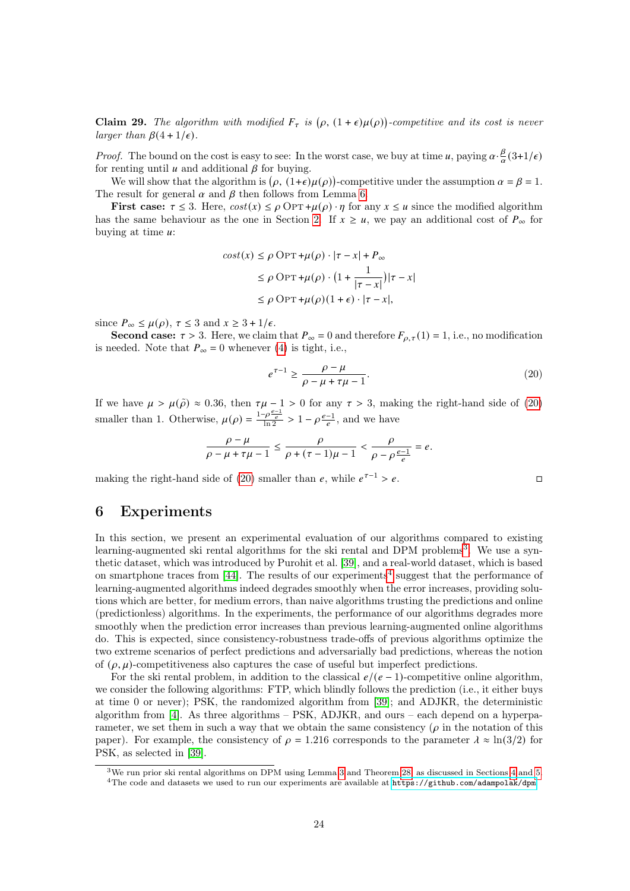**Claim 29.** The algorithm with modified  $F_{\tau}$  is  $(\rho, (1+\epsilon)\mu(\rho))$ -competitive and its cost is never larger than  $\beta(4 + 1/\epsilon)$ .

*Proof.* The bound on the cost is easy to see: In the worst case, we buy at time u, paying  $\alpha \cdot \frac{\beta}{\alpha}$  $\frac{\beta}{\alpha}(3+1/\epsilon)$ for renting until  $u$  and additional  $\beta$  for buying.

We will show that the algorithm is  $(\rho, (1+\epsilon)\mu(\rho))$ -competitive under the assumption  $\alpha = \beta = 1$ . The result for general  $\alpha$  and  $\beta$  then follows from Lemma [6.](#page-5-1)

First case:  $\tau \leq 3$ . Here,  $cost(x) \leq \rho \text{OPT} + \mu(\rho) \cdot \eta$  for any  $x \leq u$  since the modified algorithm has the same behaviour as the one in Section [2.](#page-5-0) If  $x \ge u$ , we pay an additional cost of  $P_{\infty}$  for buying at time  $u$ :

$$
cost(x) \le \rho \text{ OPT} + \mu(\rho) \cdot |\tau - x| + P_{\infty}
$$
  
\n
$$
\le \rho \text{ OPT} + \mu(\rho) \cdot \left(1 + \frac{1}{|\tau - x|}\right) |\tau - x|
$$
  
\n
$$
\le \rho \text{ OPT} + \mu(\rho) (1 + \epsilon) \cdot |\tau - x|,
$$

since  $P_{\infty} \leq \mu(\rho), \tau \leq 3$  and  $x \geq 3 + 1/\epsilon$ .

Second case:  $\tau > 3$ . Here, we claim that  $P_{\infty} = 0$  and therefore  $F_{\rho,\tau}(1) = 1$ , i.e., no modification is needed. Note that  $P_{\infty} = 0$  whenever [\(4\)](#page-6-1) is tight, i.e.,

<span id="page-23-1"></span>
$$
e^{\tau - 1} \ge \frac{\rho - \mu}{\rho - \mu + \tau \mu - 1}.\tag{20}
$$

If we have  $\mu > \mu(\tilde{\rho}) \approx 0.36$ , then  $\tau\mu - 1 > 0$  for any  $\tau > 3$ , making the right-hand side of [\(20\)](#page-23-1) smaller than 1. Otherwise,  $\mu(\rho) = \frac{1-\rho \frac{e-1}{e}}{\ln 2} > 1 - \rho \frac{e-1}{e}$ , and we have

$$
\frac{\rho-\mu}{\rho-\mu+\tau\mu-1}\leq \frac{\rho}{\rho+(\tau-1)\mu-1}<\frac{\rho}{\rho-\rho\frac{e-1}{e}}=e.
$$

making the right-hand side of [\(20\)](#page-23-1) smaller than  $e$ , while  $e^{\tau-1} > e$ .

## <span id="page-23-0"></span>6 Experiments

In this section, we present an experimental evaluation of our algorithms compared to existing learning-augmented ski rental algorithms for the ski rental and DPM problems<sup>[3](#page-23-2)</sup>. We use a synthetic dataset, which was introduced by Purohit et al. [\[39\]](#page-28-8), and a real-world dataset, which is based on smartphone traces from  $[44]$ . The results of our experiments<sup>[4](#page-23-3)</sup> suggest that the performance of learning-augmented algorithms indeed degrades smoothly when the error increases, providing solutions which are better, for medium errors, than naive algorithms trusting the predictions and online (predictionless) algorithms. In the experiments, the performance of our algorithms degrades more smoothly when the prediction error increases than previous learning-augmented online algorithms do. This is expected, since consistency-robustness trade-offs of previous algorithms optimize the two extreme scenarios of perfect predictions and adversarially bad predictions, whereas the notion of  $(\rho, \mu)$ -competitiveness also captures the case of useful but imperfect predictions.

For the ski rental problem, in addition to the classical  $e/(e-1)$ -competitive online algorithm, we consider the following algorithms: FTP, which blindly follows the prediction (i.e., it either buys at time 0 or never); PSK, the randomized algorithm from [\[39\]](#page-28-8); and ADJKR, the deterministic algorithm from  $[4]$ . As three algorithms – PSK, ADJKR, and ours – each depend on a hyperparameter, we set them in such a way that we obtain the same consistency  $(\rho)$  in the notation of this paper). For example, the consistency of  $\rho = 1.216$  corresponds to the parameter  $\lambda \approx \ln(3/2)$  for PSK, as selected in [\[39\]](#page-28-8).

<span id="page-23-3"></span><span id="page-23-2"></span><sup>3</sup>We run prior ski rental algorithms on DPM using Lemma [3](#page-3-3) and Theorem [28,](#page-21-1) as discussed in Sections [4](#page-18-0) and [5.](#page-21-0) <sup>4</sup>The code and datasets we used to run our experiments are available at <https://github.com/adampolak/dpm>.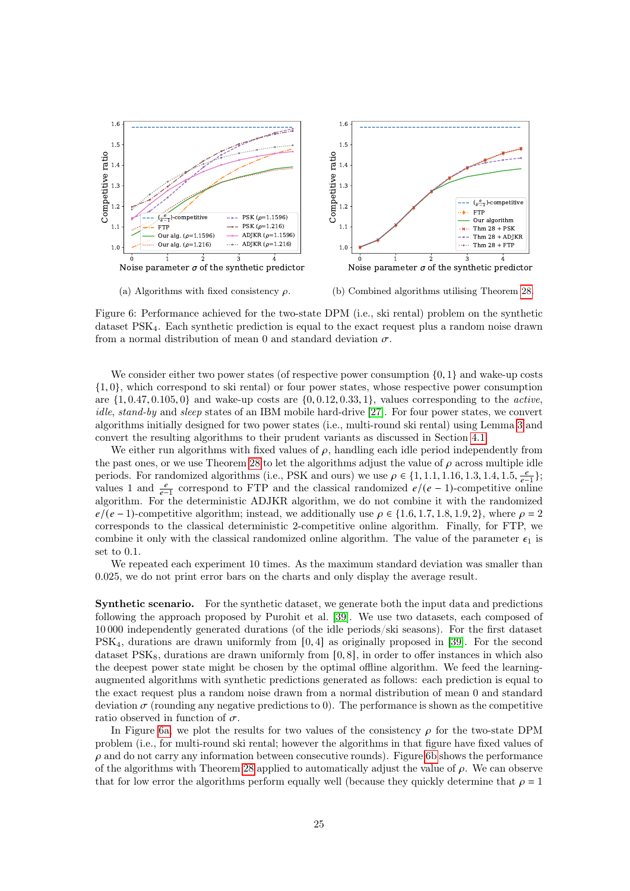<span id="page-24-0"></span>

(a) Algorithms with fixed consistency  $\rho$ .

(b) Combined algorithms utilising Theorem [28.](#page-21-1)

Figure 6: Performance achieved for the two-state DPM (i.e., ski rental) problem on the synthetic dataset PSK4. Each synthetic prediction is equal to the exact request plus a random noise drawn from a normal distribution of mean 0 and standard deviation  $\sigma$ .

We consider either two power states (of respective power consumption  $\{0, 1\}$  and wake-up costs  $\{1,0\}$ , which correspond to ski rental) or four power states, whose respective power consumption are  $\{1, 0.47, 0.105, 0\}$  and wake-up costs are  $\{0, 0.12, 0.33, 1\}$ , values corresponding to the *active*, idle, stand-by and sleep states of an IBM mobile hard-drive [\[27\]](#page-28-5). For four power states, we convert algorithms initially designed for two power states (i.e., multi-round ski rental) using Lemma [3](#page-3-3) and convert the resulting algorithms to their prudent variants as discussed in Section [4.1.](#page-20-2)

We either run algorithms with fixed values of  $\rho$ , handling each idle period independently from the past ones, or we use Theorem [28](#page-21-1) to let the algorithms adjust the value of  $\rho$  across multiple idle periods. For randomized algorithms (i.e., PSK and ours) we use  $\rho \in \{1, 1.1, 1.16, 1.3, 1.4, 1.5, \frac{e}{e-1}\}$ ; values 1 and  $\frac{e}{e-1}$  correspond to FTP and the classical randomized  $e/(e-1)$ -competitive online algorithm. For the deterministic ADJKR algorithm, we do not combine it with the randomized  $e/((e-1)$ -competitive algorithm; instead, we additionally use  $\rho \in \{1.6, 1.7, 1.8, 1.9, 2\}$ , where  $\rho = 2$ corresponds to the classical deterministic 2-competitive online algorithm. Finally, for FTP, we combine it only with the classical randomized online algorithm. The value of the parameter  $\epsilon_1$  is set to 0.1.

We repeated each experiment 10 times. As the maximum standard deviation was smaller than 0.025, we do not print error bars on the charts and only display the average result.

Synthetic scenario. For the synthetic dataset, we generate both the input data and predictions following the approach proposed by Purohit et al. [\[39\]](#page-28-8). We use two datasets, each composed of 10 000 independently generated durations (of the idle periods/ski seasons). For the first dataset PSK4, durations are drawn uniformly from [0, 4] as originally proposed in [\[39\]](#page-28-8). For the second dataset  $PSK_8$ , durations are drawn uniformly from  $[0, 8]$ , in order to offer instances in which also the deepest power state might be chosen by the optimal offline algorithm. We feed the learningaugmented algorithms with synthetic predictions generated as follows: each prediction is equal to the exact request plus a random noise drawn from a normal distribution of mean 0 and standard deviation  $\sigma$  (rounding any negative predictions to 0). The performance is shown as the competitive ratio observed in function of  $\sigma$ .

In Figure [6a,](#page-24-0) we plot the results for two values of the consistency  $\rho$  for the two-state DPM problem (i.e., for multi-round ski rental; however the algorithms in that figure have fixed values of  $\rho$  and do not carry any information between consecutive rounds). Figure [6b](#page-24-0) shows the performance of the algorithms with Theorem [28](#page-21-1) applied to automatically adjust the value of  $\rho$ . We can observe that for low error the algorithms perform equally well (because they quickly determine that  $\rho = 1$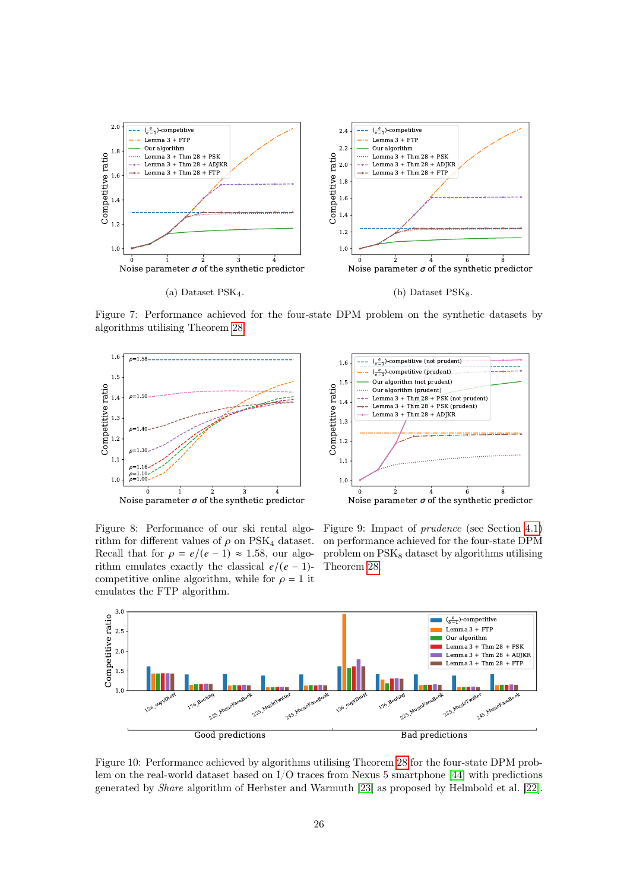<span id="page-25-0"></span>

Figure 7: Performance achieved for the four-state DPM problem on the synthetic datasets by algorithms utilising Theorem [28.](#page-21-1)





Figure 8: Performance of our ski rental algorithm for different values of  $\rho$  on PSK<sub>4</sub> dataset. Recall that for  $\rho = e/(e-1) \approx 1.58$ , our algorithm emulates exactly the classical  $e/(e - 1)$ competitive online algorithm, while for  $\rho = 1$  it emulates the FTP algorithm.

Figure 9: Impact of prudence (see Section [4.1\)](#page-20-2) on performance achieved for the four-state DPM problem on  $PSK<sub>8</sub>$  dataset by algorithms utilising Theorem [28.](#page-21-1)

<span id="page-25-1"></span>

Figure 10: Performance achieved by algorithms utilising Theorem [28](#page-21-1) for the four-state DPM problem on the real-world dataset based on I/O traces from Nexus 5 smartphone [\[44\]](#page-29-3) with predictions generated by Share algorithm of Herbster and Warmuth [\[23\]](#page-28-17) as proposed by Helmbold et al. [\[22\]](#page-27-11).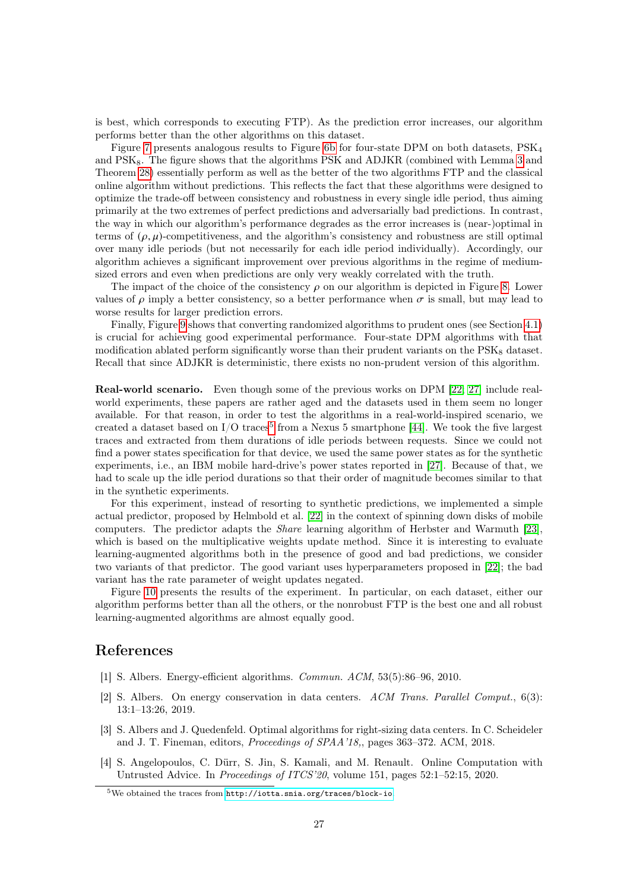is best, which corresponds to executing FTP). As the prediction error increases, our algorithm performs better than the other algorithms on this dataset.

Figure [7](#page-25-0) presents analogous results to Figure [6b](#page-24-0) for four-state DPM on both datasets, PSK<sup>4</sup> and PSK<sub>8</sub>. The figure shows that the algorithms PSK and ADJKR (combined with Lemma [3](#page-3-3) and Theorem [28\)](#page-21-1) essentially perform as well as the better of the two algorithms FTP and the classical online algorithm without predictions. This reflects the fact that these algorithms were designed to optimize the trade-off between consistency and robustness in every single idle period, thus aiming primarily at the two extremes of perfect predictions and adversarially bad predictions. In contrast, the way in which our algorithm's performance degrades as the error increases is (near-)optimal in terms of  $(\rho, \mu)$ -competitiveness, and the algorithm's consistency and robustness are still optimal over many idle periods (but not necessarily for each idle period individually). Accordingly, our algorithm achieves a significant improvement over previous algorithms in the regime of mediumsized errors and even when predictions are only very weakly correlated with the truth.

The impact of the choice of the consistency  $\rho$  on our algorithm is depicted in Figure [8.](#page-25-0) Lower values of  $\rho$  imply a better consistency, so a better performance when  $\sigma$  is small, but may lead to worse results for larger prediction errors.

Finally, Figure [9](#page-25-0) shows that converting randomized algorithms to prudent ones (see Section [4.1\)](#page-20-2) is crucial for achieving good experimental performance. Four-state DPM algorithms with that modification ablated perform significantly worse than their prudent variants on the  $PSK<sub>8</sub>$  dataset. Recall that since ADJKR is deterministic, there exists no non-prudent version of this algorithm.

Real-world scenario. Even though some of the previous works on DPM [\[22;](#page-27-11) [27\]](#page-28-5) include realworld experiments, these papers are rather aged and the datasets used in them seem no longer available. For that reason, in order to test the algorithms in a real-world-inspired scenario, we created a dataset based on  $I/O$  traces<sup>[5](#page-26-4)</sup> from a Nexus 5 smartphone [\[44\]](#page-29-3). We took the five largest traces and extracted from them durations of idle periods between requests. Since we could not find a power states specification for that device, we used the same power states as for the synthetic experiments, i.e., an IBM mobile hard-drive's power states reported in [\[27\]](#page-28-5). Because of that, we had to scale up the idle period durations so that their order of magnitude becomes similar to that in the synthetic experiments.

For this experiment, instead of resorting to synthetic predictions, we implemented a simple actual predictor, proposed by Helmbold et al. [\[22\]](#page-27-11) in the context of spinning down disks of mobile computers. The predictor adapts the Share learning algorithm of Herbster and Warmuth [\[23\]](#page-28-17), which is based on the multiplicative weights update method. Since it is interesting to evaluate learning-augmented algorithms both in the presence of good and bad predictions, we consider two variants of that predictor. The good variant uses hyperparameters proposed in [\[22\]](#page-27-11); the bad variant has the rate parameter of weight updates negated.

Figure [10](#page-25-1) presents the results of the experiment. In particular, on each dataset, either our algorithm performs better than all the others, or the nonrobust FTP is the best one and all robust learning-augmented algorithms are almost equally good.

## References

- <span id="page-26-3"></span>[1] S. Albers. Energy-efficient algorithms. Commun. ACM, 53(5):86–96, 2010.
- <span id="page-26-0"></span>[2] S. Albers. On energy conservation in data centers. ACM Trans. Parallel Comput., 6(3): 13:1–13:26, 2019.
- <span id="page-26-2"></span>[3] S. Albers and J. Quedenfeld. Optimal algorithms for right-sizing data centers. In C. Scheideler and J. T. Fineman, editors, Proceedings of SPAA'18,, pages 363–372. ACM, 2018.
- <span id="page-26-1"></span>[4] S. Angelopoulos, C. Dürr, S. Jin, S. Kamali, and M. Renault. Online Computation with Untrusted Advice. In Proceedings of ITCS'20, volume 151, pages 52:1–52:15, 2020.

<span id="page-26-4"></span><sup>5</sup>We obtained the traces from <http://iotta.snia.org/traces/block-io>.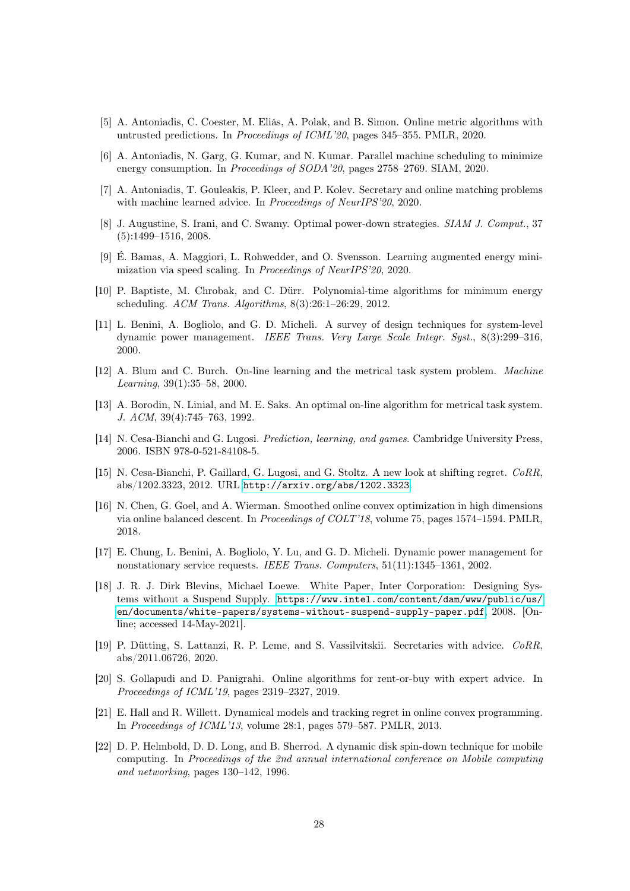- <span id="page-27-2"></span>[5] A. Antoniadis, C. Coester, M. Eliás, A. Polak, and B. Simon. Online metric algorithms with untrusted predictions. In Proceedings of ICML'20, pages 345–355. PMLR, 2020.
- <span id="page-27-10"></span>[6] A. Antoniadis, N. Garg, G. Kumar, and N. Kumar. Parallel machine scheduling to minimize energy consumption. In *Proceedings of SODA*'20, pages 2758–2769. SIAM, 2020.
- <span id="page-27-3"></span>[7] A. Antoniadis, T. Gouleakis, P. Kleer, and P. Kolev. Secretary and online matching problems with machine learned advice. In Proceedings of NeurIPS'20, 2020.
- <span id="page-27-8"></span>[8] J. Augustine, S. Irani, and C. Swamy. Optimal power-down strategies. SIAM J. Comput., 37 (5):1499–1516, 2008.
- <span id="page-27-6"></span>[9] É. Bamas, A. Maggiori, L. Rohwedder, and O. Svensson. Learning augmented energy minimization via speed scaling. In Proceedings of NeurIPS'20, 2020.
- <span id="page-27-9"></span>[10] P. Baptiste, M. Chrobak, and C. Dürr. Polynomial-time algorithms for minimum energy scheduling. ACM Trans. Algorithms, 8(3):26:1–26:29, 2012.
- <span id="page-27-7"></span>[11] L. Benini, A. Bogliolo, and G. D. Micheli. A survey of design techniques for system-level dynamic power management. IEEE Trans. Very Large Scale Integr. Syst., 8(3):299–316, 2000.
- <span id="page-27-13"></span>[12] A. Blum and C. Burch. On-line learning and the metrical task system problem. Machine Learning, 39(1):35–58, 2000.
- <span id="page-27-12"></span>[13] A. Borodin, N. Linial, and M. E. Saks. An optimal on-line algorithm for metrical task system. J. ACM, 39(4):745–763, 1992.
- <span id="page-27-14"></span>[14] N. Cesa-Bianchi and G. Lugosi. Prediction, learning, and games. Cambridge University Press, 2006. ISBN 978-0-521-84108-5.
- <span id="page-27-16"></span>[15] N. Cesa-Bianchi, P. Gaillard, G. Lugosi, and G. Stoltz. A new look at shifting regret. CoRR, abs/1202.3323, 2012. URL <http://arxiv.org/abs/1202.3323>.
- <span id="page-27-15"></span>[16] N. Chen, G. Goel, and A. Wierman. Smoothed online convex optimization in high dimensions via online balanced descent. In Proceedings of COLT'18, volume 75, pages 1574–1594. PMLR, 2018.
- <span id="page-27-1"></span>[17] E. Chung, L. Benini, A. Bogliolo, Y. Lu, and G. D. Micheli. Dynamic power management for nonstationary service requests. IEEE Trans. Computers, 51(11):1345–1361, 2002.
- <span id="page-27-0"></span>[18] J. R. J. Dirk Blevins, Michael Loewe. White Paper, Inter Corporation: Designing Systems without a Suspend Supply. [https://www.intel.com/content/dam/www/public/us/](https://www.intel.com/content/dam/www/public/us/en/documents/white-papers/systems-without-suspend-supply-paper.pdf) [en/documents/white-papers/systems-without-suspend-supply-paper.pdf](https://www.intel.com/content/dam/www/public/us/en/documents/white-papers/systems-without-suspend-supply-paper.pdf), 2008. [Online; accessed 14-May-2021].
- <span id="page-27-4"></span>[19] P. Dütting, S. Lattanzi, R. P. Leme, and S. Vassilvitskii. Secretaries with advice. CoRR, abs/2011.06726, 2020.
- <span id="page-27-5"></span>[20] S. Gollapudi and D. Panigrahi. Online algorithms for rent-or-buy with expert advice. In Proceedings of ICML'19, pages 2319–2327, 2019.
- <span id="page-27-17"></span>[21] E. Hall and R. Willett. Dynamical models and tracking regret in online convex programming. In Proceedings of ICML'13, volume 28:1, pages 579–587. PMLR, 2013.
- <span id="page-27-11"></span>[22] D. P. Helmbold, D. D. Long, and B. Sherrod. A dynamic disk spin-down technique for mobile computing. In Proceedings of the 2nd annual international conference on Mobile computing and networking, pages 130–142, 1996.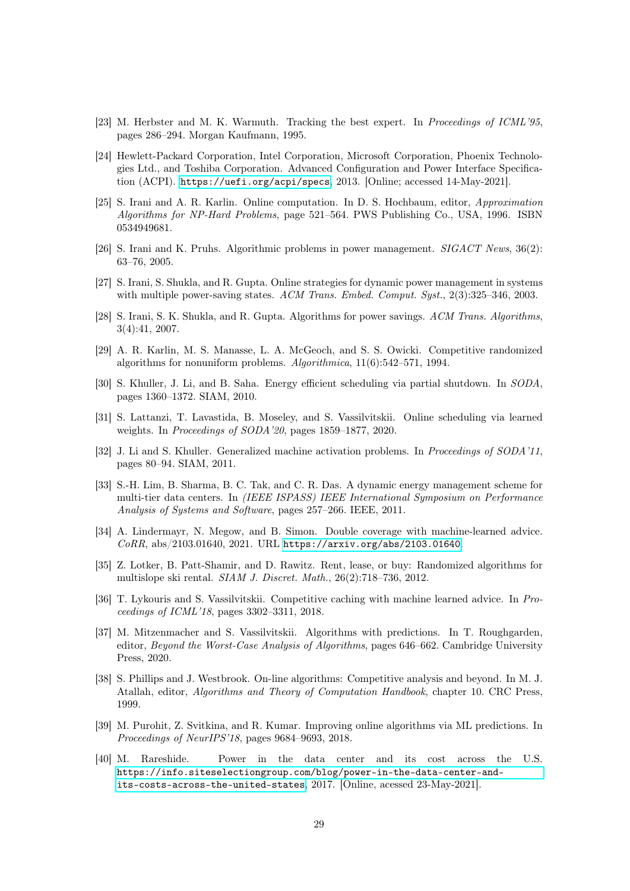- <span id="page-28-17"></span>[23] M. Herbster and M. K. Warmuth. Tracking the best expert. In *Proceedings of ICML'95*, pages 286–294. Morgan Kaufmann, 1995.
- <span id="page-28-1"></span>[24] Hewlett-Packard Corporation, Intel Corporation, Microsoft Corporation, Phoenix Technologies Ltd., and Toshiba Corporation. Advanced Configuration and Power Interface Specification (ACPI). <https://uefi.org/acpi/specs>, 2013. [Online; accessed 14-May-2021].
- <span id="page-28-4"></span>[25] S. Irani and A. R. Karlin. Online computation. In D. S. Hochbaum, editor, Approximation Algorithms for NP-Hard Problems, page 521–564. PWS Publishing Co., USA, 1996. ISBN 0534949681.
- <span id="page-28-16"></span>[26] S. Irani and K. Pruhs. Algorithmic problems in power management. SIGACT News, 36(2): 63–76, 2005.
- <span id="page-28-5"></span>[27] S. Irani, S. Shukla, and R. Gupta. Online strategies for dynamic power management in systems with multiple power-saving states. ACM Trans. Embed. Comput. Syst., 2(3):325-346, 2003.
- <span id="page-28-13"></span>[28] S. Irani, S. K. Shukla, and R. Gupta. Algorithms for power savings. ACM Trans. Algorithms, 3(4):41, 2007.
- <span id="page-28-12"></span>[29] A. R. Karlin, M. S. Manasse, L. A. McGeoch, and S. S. Owicki. Competitive randomized algorithms for nonuniform problems. Algorithmica, 11(6):542–571, 1994.
- <span id="page-28-14"></span>[30] S. Khuller, J. Li, and B. Saha. Energy efficient scheduling via partial shutdown. In SODA, pages 1360–1372. SIAM, 2010.
- <span id="page-28-11"></span>[31] S. Lattanzi, T. Lavastida, B. Moseley, and S. Vassilvitskii. Online scheduling via learned weights. In Proceedings of SODA'20, pages 1859–1877, 2020.
- <span id="page-28-15"></span>[32] J. Li and S. Khuller. Generalized machine activation problems. In Proceedings of SODA'11, pages 80–94. SIAM, 2011.
- <span id="page-28-2"></span>[33] S.-H. Lim, B. Sharma, B. C. Tak, and C. R. Das. A dynamic energy management scheme for multi-tier data centers. In (IEEE ISPASS) IEEE International Symposium on Performance Analysis of Systems and Software, pages 257–266. IEEE, 2011.
- <span id="page-28-10"></span>[34] A. Lindermayr, N. Megow, and B. Simon. Double coverage with machine-learned advice. CoRR, abs/2103.01640, 2021. URL <https://arxiv.org/abs/2103.01640>.
- <span id="page-28-6"></span>[35] Z. Lotker, B. Patt-Shamir, and D. Rawitz. Rent, lease, or buy: Randomized algorithms for multislope ski rental. SIAM J. Discret. Math., 26(2):718–736, 2012.
- <span id="page-28-9"></span>[36] T. Lykouris and S. Vassilvitskii. Competitive caching with machine learned advice. In Proceedings of ICML'18, pages 3302–3311, 2018.
- <span id="page-28-7"></span>[37] M. Mitzenmacher and S. Vassilvitskii. Algorithms with predictions. In T. Roughgarden, editor, Beyond the Worst-Case Analysis of Algorithms, pages 646–662. Cambridge University Press, 2020.
- <span id="page-28-3"></span>[38] S. Phillips and J. Westbrook. On-line algorithms: Competitive analysis and beyond. In M. J. Atallah, editor, Algorithms and Theory of Computation Handbook, chapter 10. CRC Press, 1999.
- <span id="page-28-8"></span>[39] M. Purohit, Z. Svitkina, and R. Kumar. Improving online algorithms via ML predictions. In Proceedings of NeurIPS'18, pages 9684–9693, 2018.
- <span id="page-28-0"></span>[40] M. Rareshide. Power in the data center and its cost across the U.S. [https://info.siteselectiongroup.com/blog/power-in-the-data-center-and](https://info.siteselectiongroup.com/blog/power-in-the-data-center-and-its-costs-across-the-united-states)[its-costs-across-the-united-states](https://info.siteselectiongroup.com/blog/power-in-the-data-center-and-its-costs-across-the-united-states), 2017. [Online, acessed 23-May-2021].